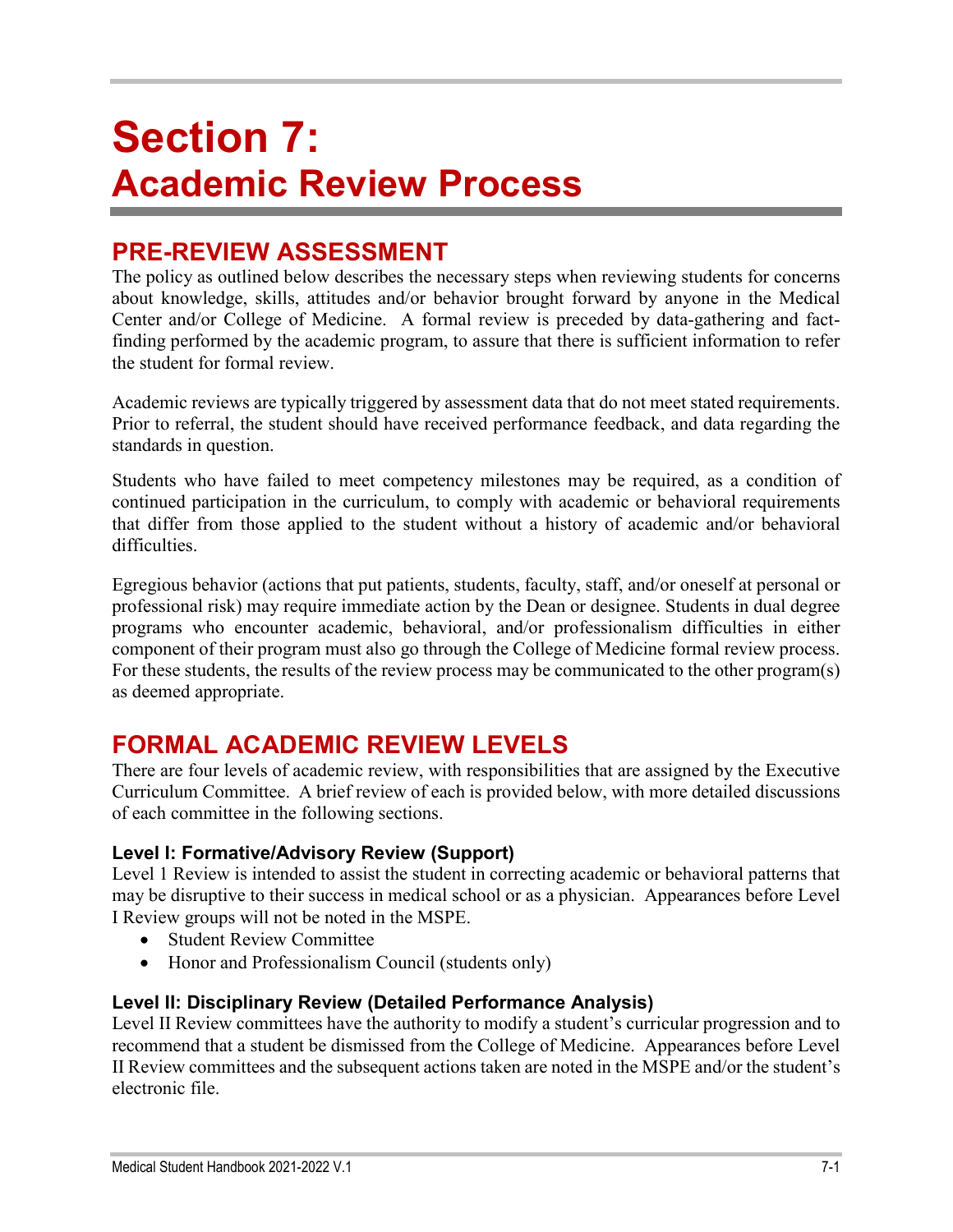# **Section 7: Academic Review Process**

# **PRE-REVIEW ASSESSMENT**

The policy as outlined below describes the necessary steps when reviewing students for concerns about knowledge, skills, attitudes and/or behavior brought forward by anyone in the Medical Center and/or College of Medicine. A formal review is preceded by data-gathering and factfinding performed by the academic program, to assure that there is sufficient information to refer the student for formal review.

Academic reviews are typically triggered by assessment data that do not meet stated requirements. Prior to referral, the student should have received performance feedback, and data regarding the standards in question.

Students who have failed to meet competency milestones may be required, as a condition of continued participation in the curriculum, to comply with academic or behavioral requirements that differ from those applied to the student without a history of academic and/or behavioral difficulties.

Egregious behavior (actions that put patients, students, faculty, staff, and/or oneself at personal or professional risk) may require immediate action by the Dean or designee. Students in dual degree programs who encounter academic, behavioral, and/or professionalism difficulties in either component of their program must also go through the College of Medicine formal review process. For these students, the results of the review process may be communicated to the other program(s) as deemed appropriate.

# **FORMAL ACADEMIC REVIEW LEVELS**

There are four levels of academic review, with responsibilities that are assigned by the Executive Curriculum Committee. A brief review of each is provided below, with more detailed discussions of each committee in the following sections.

### **Level I: Formative/Advisory Review (Support)**

Level 1 Review is intended to assist the student in correcting academic or behavioral patterns that may be disruptive to their success in medical school or as a physician. Appearances before Level I Review groups will not be noted in the MSPE.

- Student Review Committee
- Honor and Professionalism Council (students only)

### **Level II: Disciplinary Review (Detailed Performance Analysis)**

Level II Review committees have the authority to modify a student's curricular progression and to recommend that a student be dismissed from the College of Medicine. Appearances before Level II Review committees and the subsequent actions taken are noted in the MSPE and/or the student's electronic file.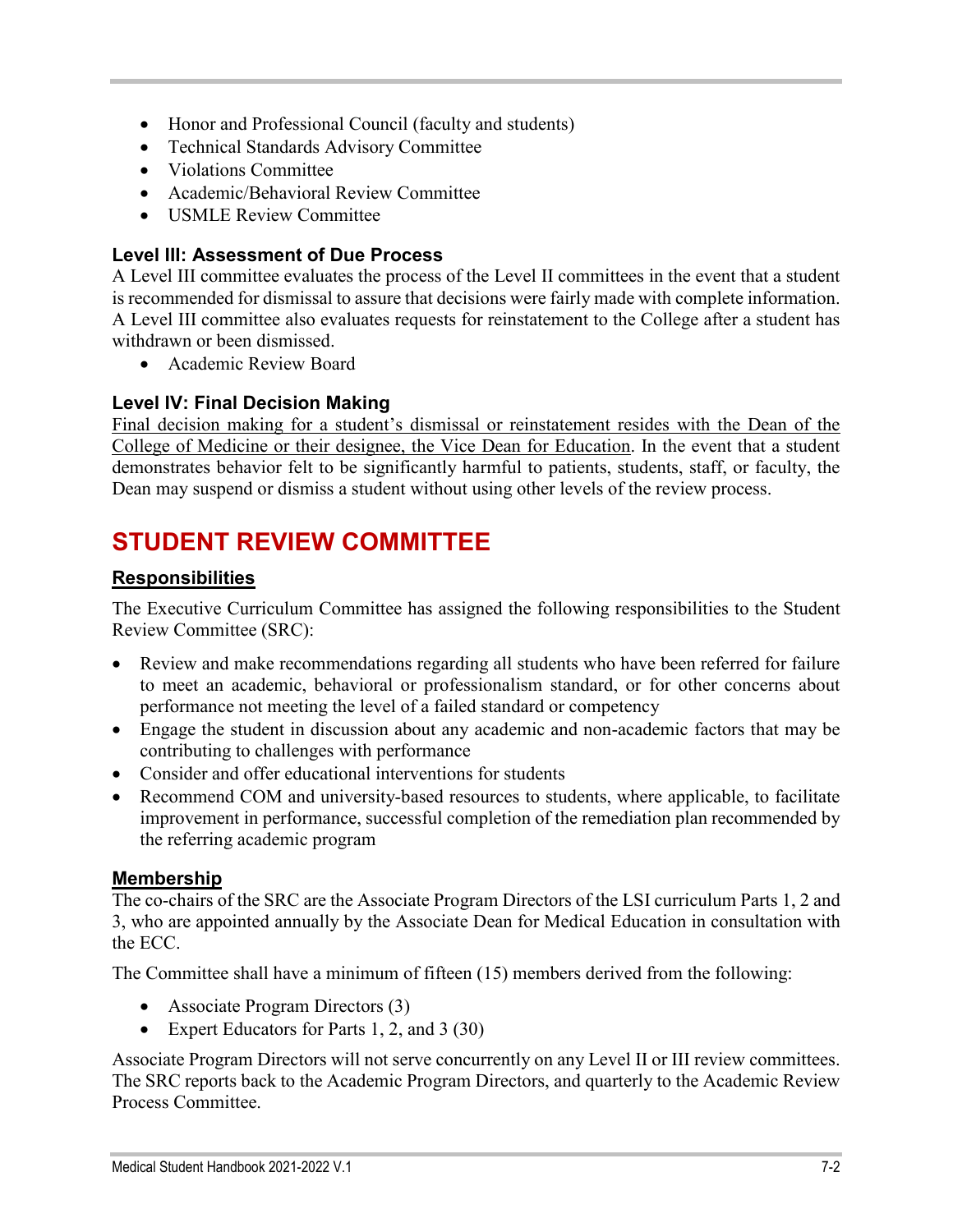- Honor and Professional Council (faculty and students)
- Technical Standards Advisory Committee
- Violations Committee
- Academic/Behavioral Review Committee
- USMLE Review Committee

#### **Level III: Assessment of Due Process**

A Level III committee evaluates the process of the Level II committees in the event that a student is recommended for dismissal to assure that decisions were fairly made with complete information. A Level III committee also evaluates requests for reinstatement to the College after a student has withdrawn or been dismissed.

• Academic Review Board

### **Level IV: Final Decision Making**

Final decision making for a student's dismissal or reinstatement resides with the Dean of the College of Medicine or their designee, the Vice Dean for Education. In the event that a student demonstrates behavior felt to be significantly harmful to patients, students, staff, or faculty, the Dean may suspend or dismiss a student without using other levels of the review process.

# **STUDENT REVIEW COMMITTEE**

### **Responsibilities**

The Executive Curriculum Committee has assigned the following responsibilities to the Student Review Committee (SRC):

- Review and make recommendations regarding all students who have been referred for failure to meet an academic, behavioral or professionalism standard, or for other concerns about performance not meeting the level of a failed standard or competency
- Engage the student in discussion about any academic and non-academic factors that may be contributing to challenges with performance
- Consider and offer educational interventions for students
- Recommend COM and university-based resources to students, where applicable, to facilitate improvement in performance, successful completion of the remediation plan recommended by the referring academic program

### **Membership**

The co-chairs of the SRC are the Associate Program Directors of the LSI curriculum Parts 1, 2 and 3, who are appointed annually by the Associate Dean for Medical Education in consultation with the ECC.

The Committee shall have a minimum of fifteen (15) members derived from the following:

- Associate Program Directors (3)
- Expert Educators for Parts 1, 2, and 3 (30)

Associate Program Directors will not serve concurrently on any Level II or III review committees. The SRC reports back to the Academic Program Directors, and quarterly to the Academic Review Process Committee.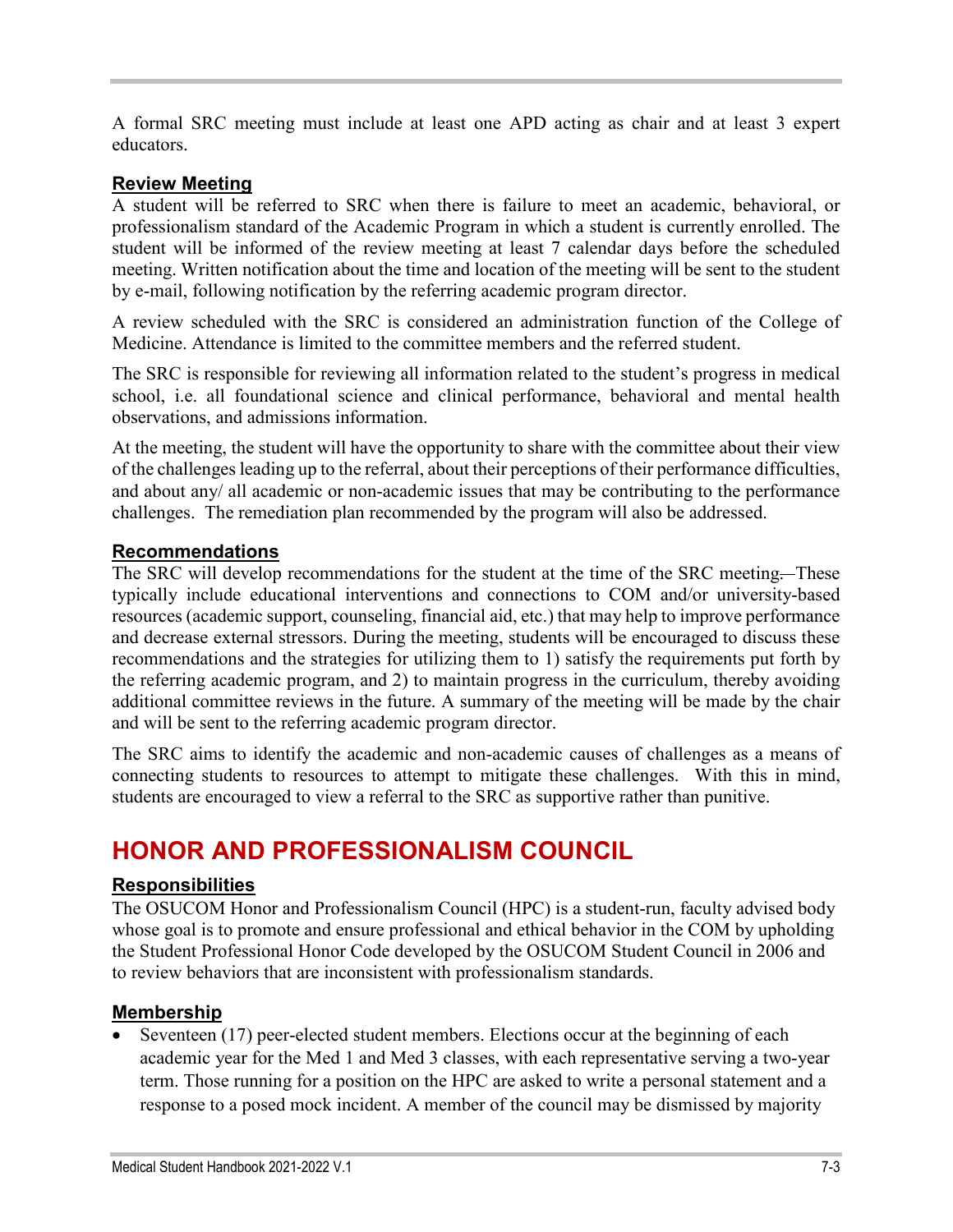A formal SRC meeting must include at least one APD acting as chair and at least 3 expert educators.

#### **Review Meeting**

A student will be referred to SRC when there is failure to meet an academic, behavioral, or professionalism standard of the Academic Program in which a student is currently enrolled. The student will be informed of the review meeting at least 7 calendar days before the scheduled meeting. Written notification about the time and location of the meeting will be sent to the student by e-mail, following notification by the referring academic program director.

A review scheduled with the SRC is considered an administration function of the College of Medicine. Attendance is limited to the committee members and the referred student.

The SRC is responsible for reviewing all information related to the student's progress in medical school, i.e. all foundational science and clinical performance, behavioral and mental health observations, and admissions information.

At the meeting, the student will have the opportunity to share with the committee about their view of the challenges leading up to the referral, about their perceptions of their performance difficulties, and about any/ all academic or non-academic issues that may be contributing to the performance challenges. The remediation plan recommended by the program will also be addressed.

#### **Recommendations**

The SRC will develop recommendations for the student at the time of the SRC meeting.--These typically include educational interventions and connections to COM and/or university-based resources (academic support, counseling, financial aid, etc.) that may help to improve performance and decrease external stressors. During the meeting, students will be encouraged to discuss these recommendations and the strategies for utilizing them to 1) satisfy the requirements put forth by the referring academic program, and 2) to maintain progress in the curriculum, thereby avoiding additional committee reviews in the future. A summary of the meeting will be made by the chair and will be sent to the referring academic program director.

The SRC aims to identify the academic and non-academic causes of challenges as a means of connecting students to resources to attempt to mitigate these challenges. With this in mind, students are encouraged to view a referral to the SRC as supportive rather than punitive.

# **HONOR AND PROFESSIONALISM COUNCIL**

### **Responsibilities**

The OSUCOM Honor and Professionalism Council (HPC) is a student-run, faculty advised body whose goal is to promote and ensure professional and ethical behavior in the COM by upholding the Student Professional Honor Code developed by the OSUCOM Student Council in 2006 and to review behaviors that are inconsistent with professionalism standards.

#### **Membership**

Seventeen (17) peer-elected student members. Elections occur at the beginning of each academic year for the Med 1 and Med 3 classes, with each representative serving a two-year term. Those running for a position on the HPC are asked to write a personal statement and a response to a posed mock incident. A member of the council may be dismissed by majority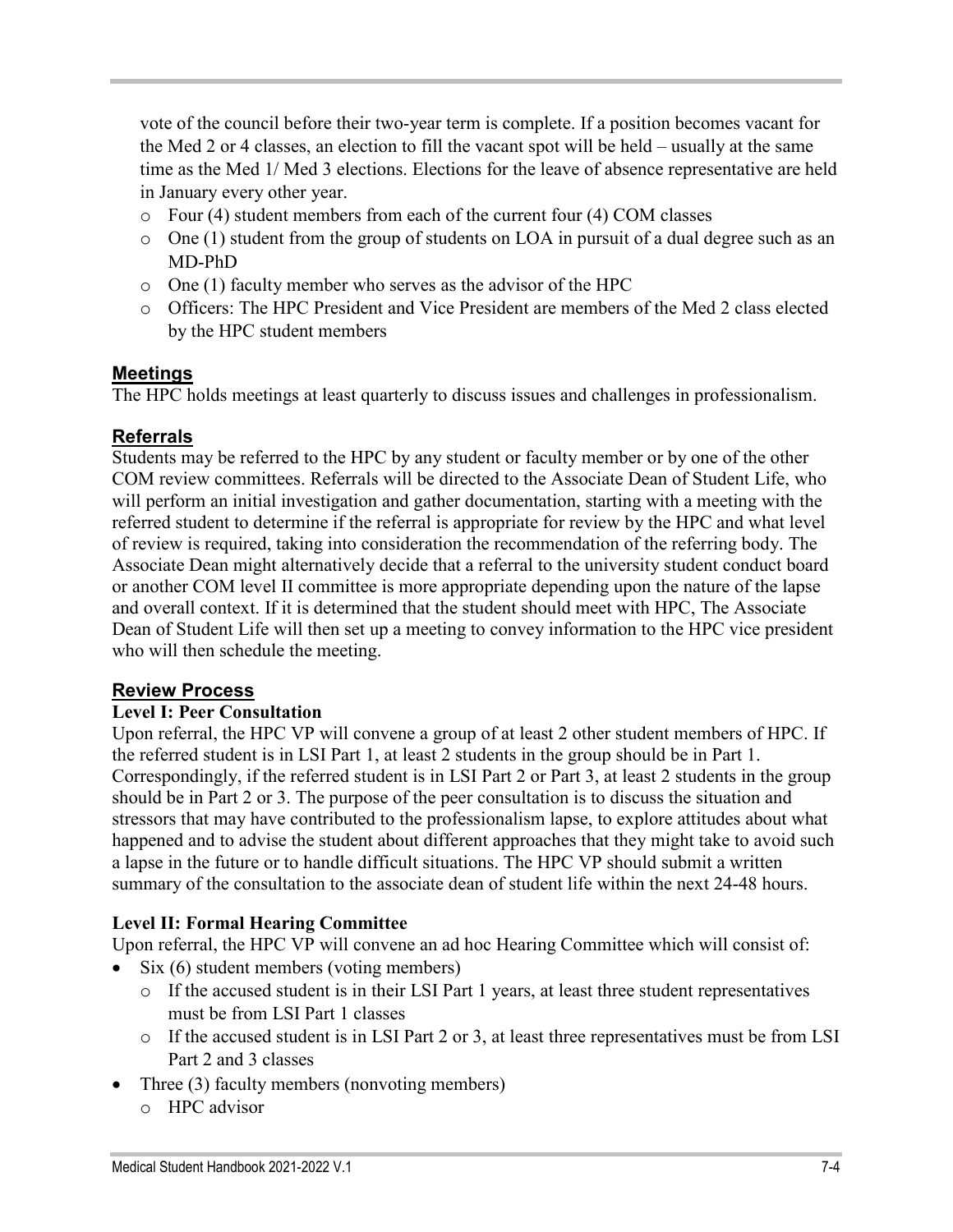vote of the council before their two-year term is complete. If a position becomes vacant for the Med 2 or 4 classes, an election to fill the vacant spot will be held – usually at the same time as the Med 1/ Med 3 elections. Elections for the leave of absence representative are held in January every other year.

- o Four (4) student members from each of the current four (4) COM classes
- o One (1) student from the group of students on LOA in pursuit of a dual degree such as an MD-PhD
- o One (1) faculty member who serves as the advisor of the HPC
- o Officers: The HPC President and Vice President are members of the Med 2 class elected by the HPC student members

#### **Meetings**

The HPC holds meetings at least quarterly to discuss issues and challenges in professionalism.

#### **Referrals**

Students may be referred to the HPC by any student or faculty member or by one of the other COM review committees. Referrals will be directed to the Associate Dean of Student Life, who will perform an initial investigation and gather documentation, starting with a meeting with the referred student to determine if the referral is appropriate for review by the HPC and what level of review is required, taking into consideration the recommendation of the referring body. The Associate Dean might alternatively decide that a referral to the university student conduct board or another COM level II committee is more appropriate depending upon the nature of the lapse and overall context. If it is determined that the student should meet with HPC, The Associate Dean of Student Life will then set up a meeting to convey information to the HPC vice president who will then schedule the meeting.

#### **Review Process**

#### **Level I: Peer Consultation**

Upon referral, the HPC VP will convene a group of at least 2 other student members of HPC. If the referred student is in LSI Part 1, at least 2 students in the group should be in Part 1. Correspondingly, if the referred student is in LSI Part 2 or Part 3, at least 2 students in the group should be in Part 2 or 3. The purpose of the peer consultation is to discuss the situation and stressors that may have contributed to the professionalism lapse, to explore attitudes about what happened and to advise the student about different approaches that they might take to avoid such a lapse in the future or to handle difficult situations. The HPC VP should submit a written summary of the consultation to the associate dean of student life within the next 24-48 hours.

#### **Level II: Formal Hearing Committee**

Upon referral, the HPC VP will convene an ad hoc Hearing Committee which will consist of:

- Six (6) student members (voting members)
	- o If the accused student is in their LSI Part 1 years, at least three student representatives must be from LSI Part 1 classes
	- o If the accused student is in LSI Part 2 or 3, at least three representatives must be from LSI Part 2 and 3 classes
- Three (3) faculty members (nonvoting members)
	- o HPC advisor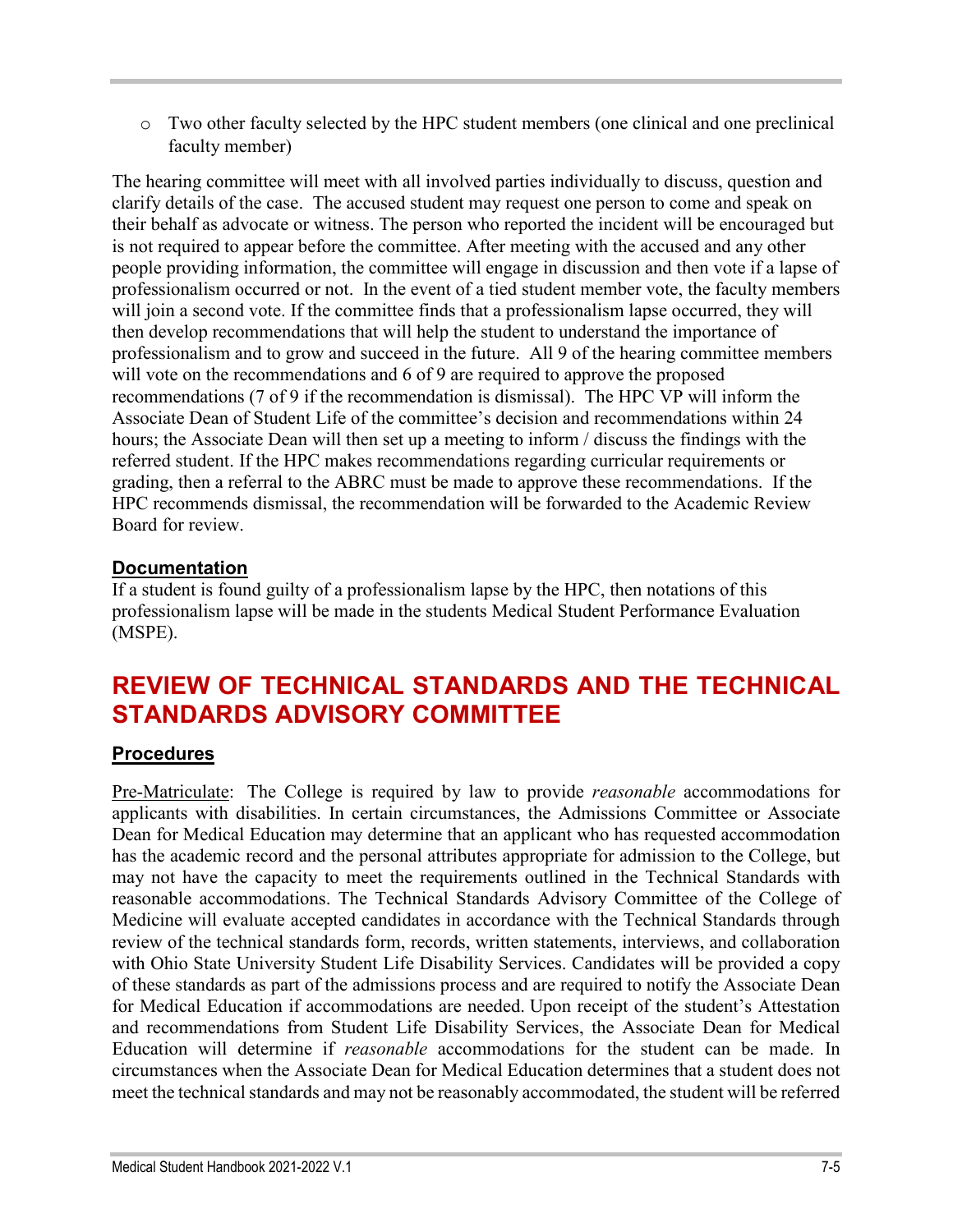o Two other faculty selected by the HPC student members (one clinical and one preclinical faculty member)

The hearing committee will meet with all involved parties individually to discuss, question and clarify details of the case. The accused student may request one person to come and speak on their behalf as advocate or witness. The person who reported the incident will be encouraged but is not required to appear before the committee. After meeting with the accused and any other people providing information, the committee will engage in discussion and then vote if a lapse of professionalism occurred or not. In the event of a tied student member vote, the faculty members will join a second vote. If the committee finds that a professionalism lapse occurred, they will then develop recommendations that will help the student to understand the importance of professionalism and to grow and succeed in the future. All 9 of the hearing committee members will vote on the recommendations and 6 of 9 are required to approve the proposed recommendations (7 of 9 if the recommendation is dismissal). The HPC VP will inform the Associate Dean of Student Life of the committee's decision and recommendations within 24 hours; the Associate Dean will then set up a meeting to inform / discuss the findings with the referred student. If the HPC makes recommendations regarding curricular requirements or grading, then a referral to the ABRC must be made to approve these recommendations. If the HPC recommends dismissal, the recommendation will be forwarded to the Academic Review Board for review.

# **Documentation**

If a student is found guilty of a professionalism lapse by the HPC, then notations of this professionalism lapse will be made in the students Medical Student Performance Evaluation (MSPE).

# **REVIEW OF TECHNICAL STANDARDS AND THE TECHNICAL STANDARDS ADVISORY COMMITTEE**

# **Procedures**

Pre-Matriculate: The College is required by law to provide *reasonable* accommodations for applicants with disabilities. In certain circumstances, the Admissions Committee or Associate Dean for Medical Education may determine that an applicant who has requested accommodation has the academic record and the personal attributes appropriate for admission to the College, but may not have the capacity to meet the requirements outlined in the Technical Standards with reasonable accommodations. The Technical Standards Advisory Committee of the College of Medicine will evaluate accepted candidates in accordance with the Technical Standards through review of the technical standards form, records, written statements, interviews, and collaboration with Ohio State University Student Life Disability Services. Candidates will be provided a copy of these standards as part of the admissions process and are required to notify the Associate Dean for Medical Education if accommodations are needed. Upon receipt of the student's Attestation and recommendations from Student Life Disability Services, the Associate Dean for Medical Education will determine if *reasonable* accommodations for the student can be made. In circumstances when the Associate Dean for Medical Education determines that a student does not meet the technical standards and may not be reasonably accommodated, the student will be referred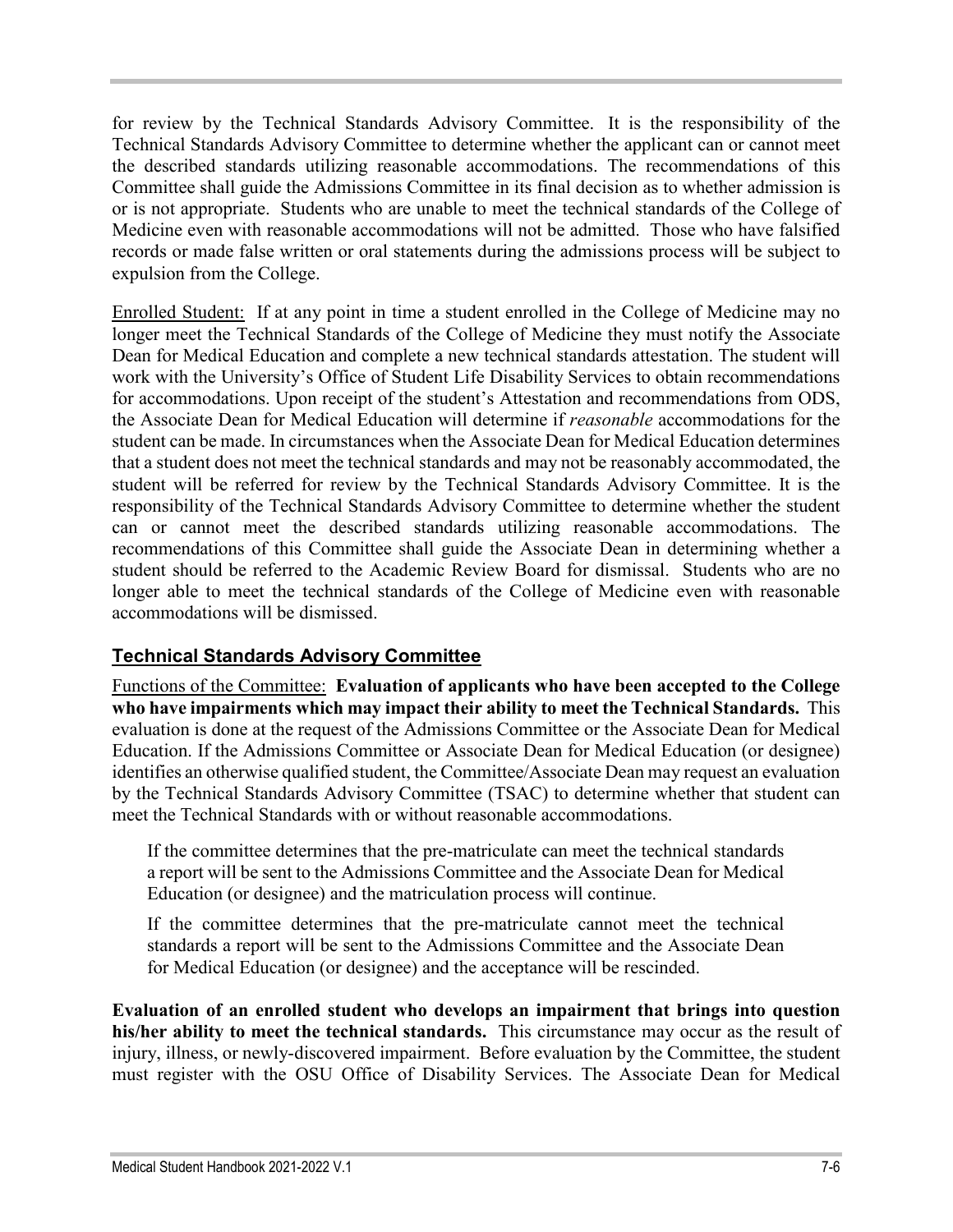for review by the Technical Standards Advisory Committee. It is the responsibility of the Technical Standards Advisory Committee to determine whether the applicant can or cannot meet the described standards utilizing reasonable accommodations. The recommendations of this Committee shall guide the Admissions Committee in its final decision as to whether admission is or is not appropriate. Students who are unable to meet the technical standards of the College of Medicine even with reasonable accommodations will not be admitted. Those who have falsified records or made false written or oral statements during the admissions process will be subject to expulsion from the College.

Enrolled Student: If at any point in time a student enrolled in the College of Medicine may no longer meet the Technical Standards of the College of Medicine they must notify the Associate Dean for Medical Education and complete a new technical standards attestation. The student will work with the University's Office of Student Life Disability Services to obtain recommendations for accommodations. Upon receipt of the student's Attestation and recommendations from ODS, the Associate Dean for Medical Education will determine if *reasonable* accommodations for the student can be made. In circumstances when the Associate Dean for Medical Education determines that a student does not meet the technical standards and may not be reasonably accommodated, the student will be referred for review by the Technical Standards Advisory Committee. It is the responsibility of the Technical Standards Advisory Committee to determine whether the student can or cannot meet the described standards utilizing reasonable accommodations. The recommendations of this Committee shall guide the Associate Dean in determining whether a student should be referred to the Academic Review Board for dismissal. Students who are no longer able to meet the technical standards of the College of Medicine even with reasonable accommodations will be dismissed.

# **Technical Standards Advisory Committee**

Functions of the Committee: **Evaluation of applicants who have been accepted to the College who have impairments which may impact their ability to meet the Technical Standards.** This evaluation is done at the request of the Admissions Committee or the Associate Dean for Medical Education. If the Admissions Committee or Associate Dean for Medical Education (or designee) identifies an otherwise qualified student, the Committee/Associate Dean may request an evaluation by the Technical Standards Advisory Committee (TSAC) to determine whether that student can meet the Technical Standards with or without reasonable accommodations.

If the committee determines that the pre-matriculate can meet the technical standards a report will be sent to the Admissions Committee and the Associate Dean for Medical Education (or designee) and the matriculation process will continue.

If the committee determines that the pre-matriculate cannot meet the technical standards a report will be sent to the Admissions Committee and the Associate Dean for Medical Education (or designee) and the acceptance will be rescinded.

**Evaluation of an enrolled student who develops an impairment that brings into question his/her ability to meet the technical standards.** This circumstance may occur as the result of injury, illness, or newly-discovered impairment. Before evaluation by the Committee, the student must register with the OSU Office of Disability Services. The Associate Dean for Medical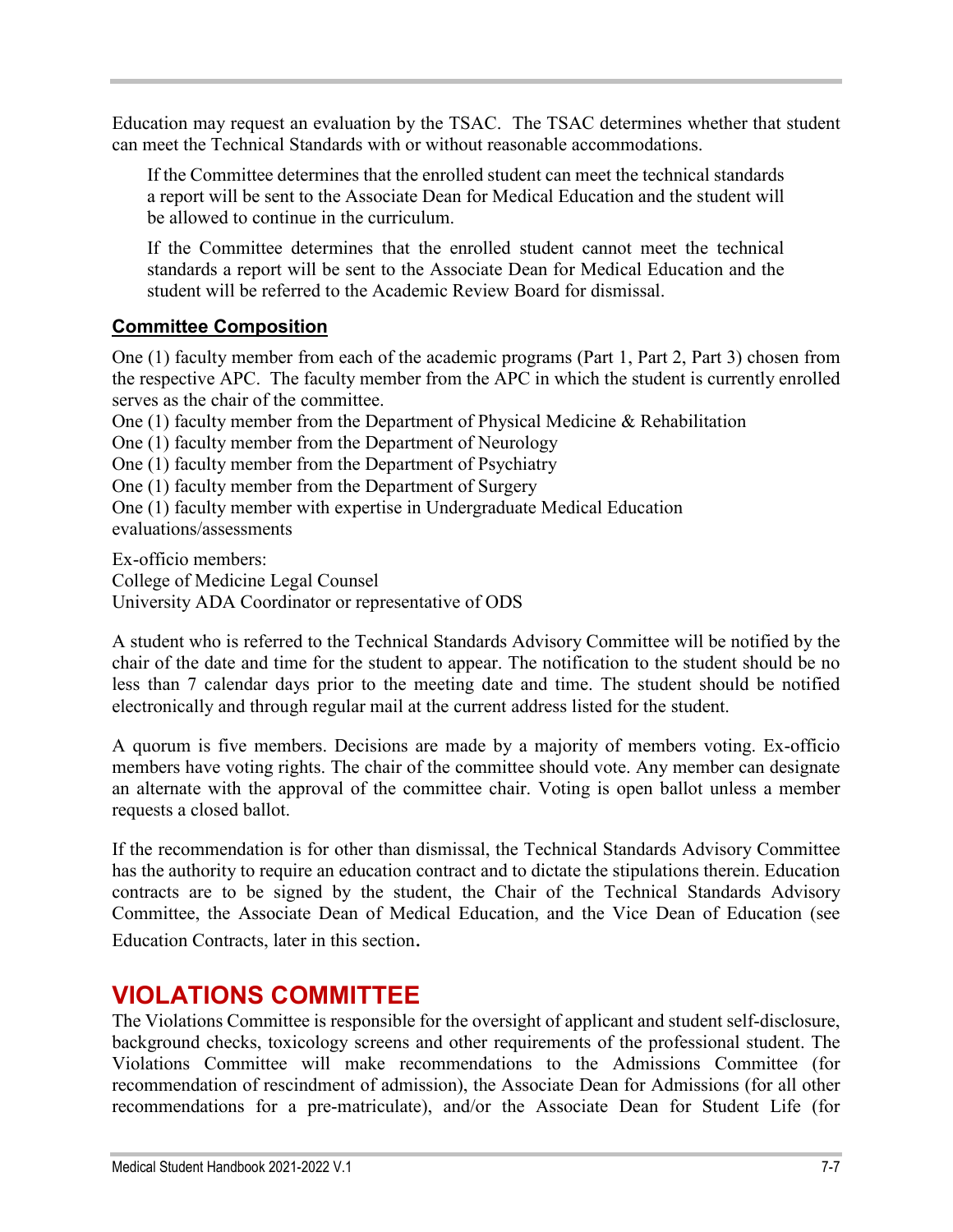Education may request an evaluation by the TSAC. The TSAC determines whether that student can meet the Technical Standards with or without reasonable accommodations.

If the Committee determines that the enrolled student can meet the technical standards a report will be sent to the Associate Dean for Medical Education and the student will be allowed to continue in the curriculum.

If the Committee determines that the enrolled student cannot meet the technical standards a report will be sent to the Associate Dean for Medical Education and the student will be referred to the Academic Review Board for dismissal.

### **Committee Composition**

One (1) faculty member from each of the academic programs (Part 1, Part 2, Part 3) chosen from the respective APC. The faculty member from the APC in which the student is currently enrolled serves as the chair of the committee.

One (1) faculty member from the Department of Physical Medicine & Rehabilitation

One (1) faculty member from the Department of Neurology

One (1) faculty member from the Department of Psychiatry

One (1) faculty member from the Department of Surgery

One (1) faculty member with expertise in Undergraduate Medical Education

evaluations/assessments

Ex-officio members: College of Medicine Legal Counsel University ADA Coordinator or representative of ODS

A student who is referred to the Technical Standards Advisory Committee will be notified by the chair of the date and time for the student to appear. The notification to the student should be no less than 7 calendar days prior to the meeting date and time. The student should be notified electronically and through regular mail at the current address listed for the student.

A quorum is five members. Decisions are made by a majority of members voting. Ex-officio members have voting rights. The chair of the committee should vote. Any member can designate an alternate with the approval of the committee chair. Voting is open ballot unless a member requests a closed ballot.

If the recommendation is for other than dismissal, the Technical Standards Advisory Committee has the authority to require an education contract and to dictate the stipulations therein. Education contracts are to be signed by the student, the Chair of the Technical Standards Advisory Committee, the Associate Dean of Medical Education, and the Vice Dean of Education (see Education Contracts, later in this section.

# **VIOLATIONS COMMITTEE**

The Violations Committee is responsible for the oversight of applicant and student self-disclosure, background checks, toxicology screens and other requirements of the professional student. The Violations Committee will make recommendations to the Admissions Committee (for recommendation of rescindment of admission), the Associate Dean for Admissions (for all other recommendations for a pre-matriculate), and/or the Associate Dean for Student Life (for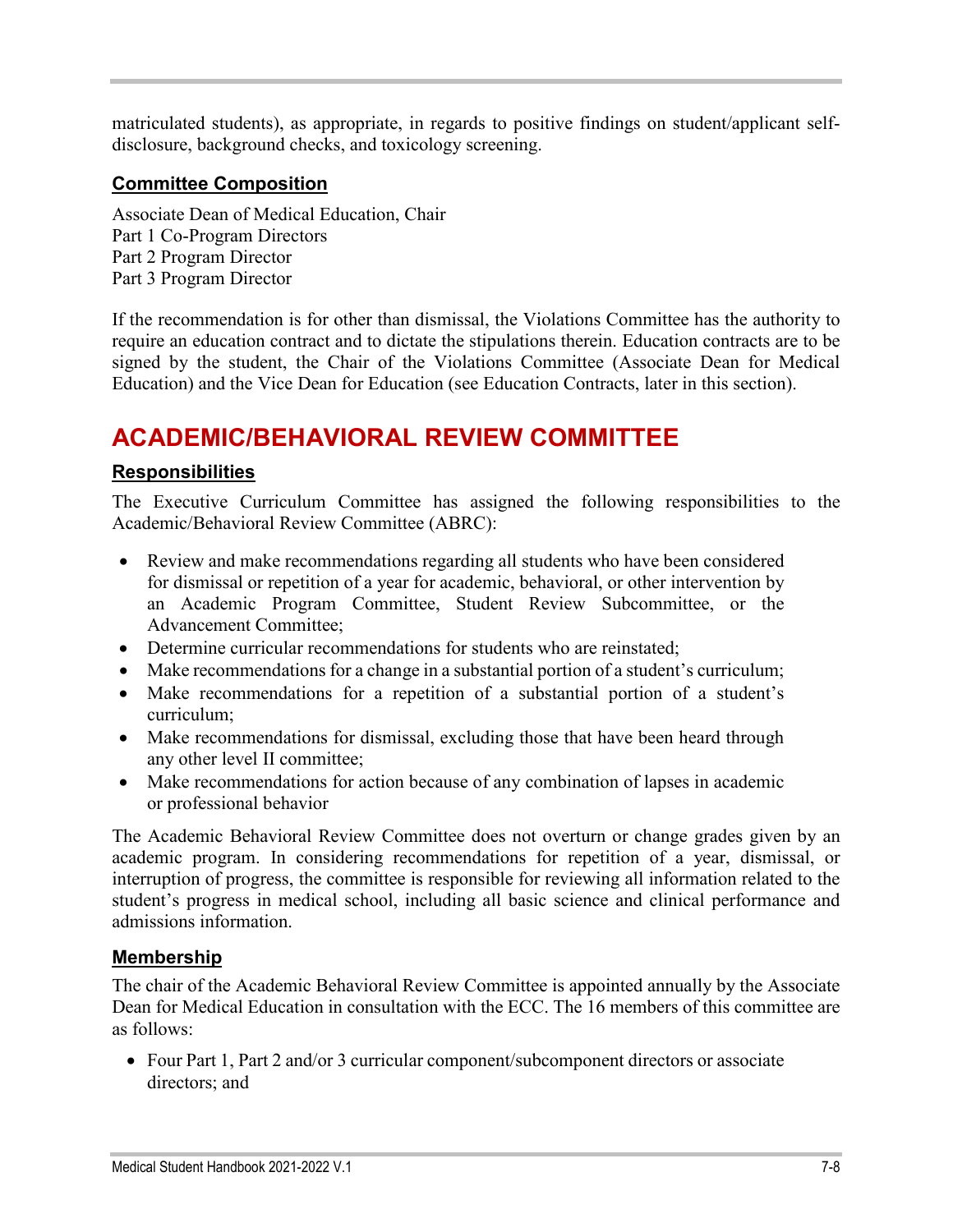matriculated students), as appropriate, in regards to positive findings on student/applicant selfdisclosure, background checks, and toxicology screening.

### **Committee Composition**

Associate Dean of Medical Education, Chair Part 1 Co-Program Directors Part 2 Program Director Part 3 Program Director

If the recommendation is for other than dismissal, the Violations Committee has the authority to require an education contract and to dictate the stipulations therein. Education contracts are to be signed by the student, the Chair of the Violations Committee (Associate Dean for Medical Education) and the Vice Dean for Education (see Education Contracts, later in this section).

# **ACADEMIC/BEHAVIORAL REVIEW COMMITTEE**

### **Responsibilities**

The Executive Curriculum Committee has assigned the following responsibilities to the Academic/Behavioral Review Committee (ABRC):

- Review and make recommendations regarding all students who have been considered for dismissal or repetition of a year for academic, behavioral, or other intervention by an Academic Program Committee, Student Review Subcommittee, or the Advancement Committee;
- Determine curricular recommendations for students who are reinstated;
- Make recommendations for a change in a substantial portion of a student's curriculum;
- Make recommendations for a repetition of a substantial portion of a student's curriculum;
- Make recommendations for dismissal, excluding those that have been heard through any other level II committee;
- Make recommendations for action because of any combination of lapses in academic or professional behavior

The Academic Behavioral Review Committee does not overturn or change grades given by an academic program. In considering recommendations for repetition of a year, dismissal, or interruption of progress, the committee is responsible for reviewing all information related to the student's progress in medical school, including all basic science and clinical performance and admissions information.

### **Membership**

The chair of the Academic Behavioral Review Committee is appointed annually by the Associate Dean for Medical Education in consultation with the ECC. The 16 members of this committee are as follows:

• Four Part 1, Part 2 and/or 3 curricular component/subcomponent directors or associate directors; and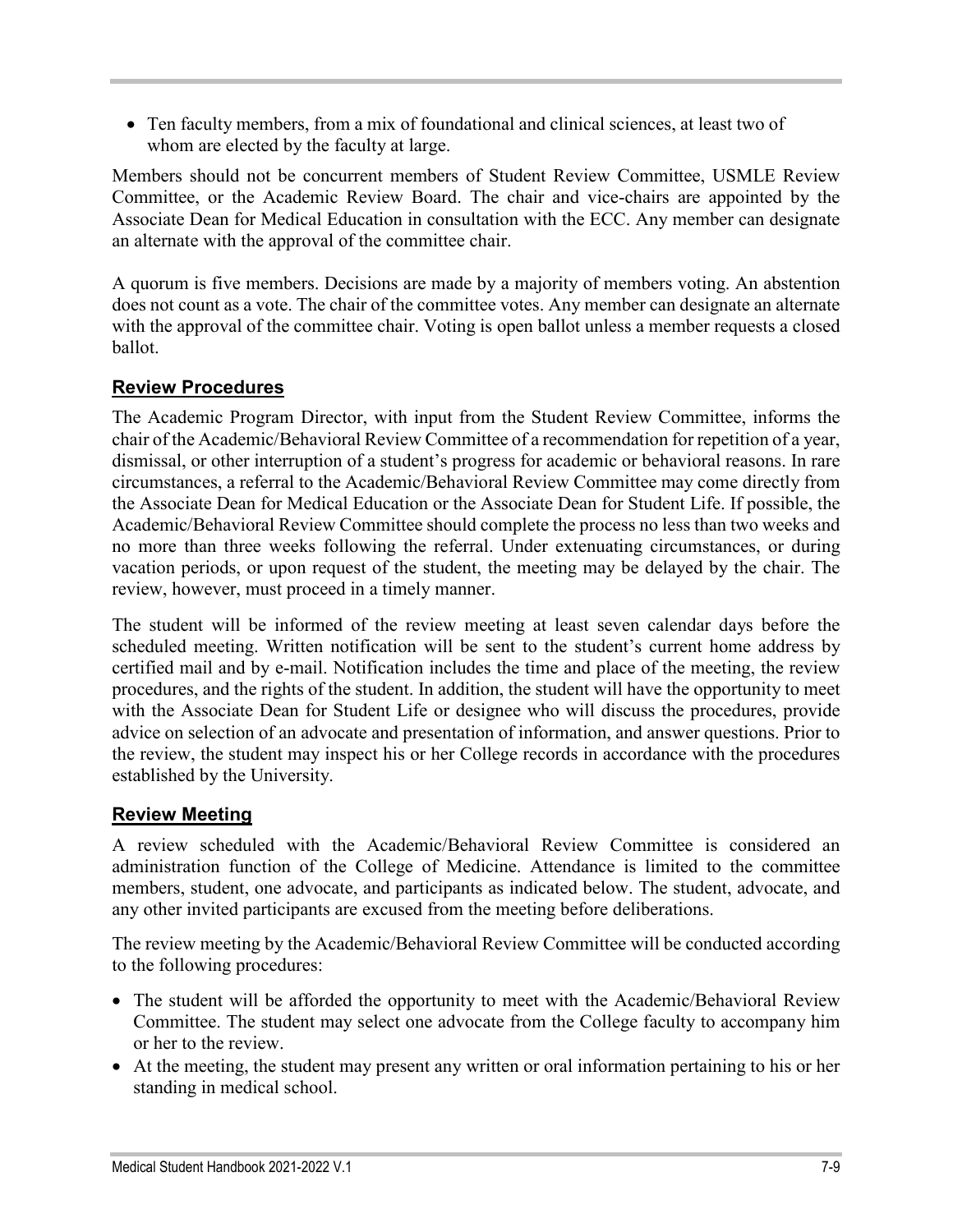• Ten faculty members, from a mix of foundational and clinical sciences, at least two of whom are elected by the faculty at large.

Members should not be concurrent members of Student Review Committee, USMLE Review Committee, or the Academic Review Board. The chair and vice-chairs are appointed by the Associate Dean for Medical Education in consultation with the ECC. Any member can designate an alternate with the approval of the committee chair.

A quorum is five members. Decisions are made by a majority of members voting. An abstention does not count as a vote. The chair of the committee votes. Any member can designate an alternate with the approval of the committee chair. Voting is open ballot unless a member requests a closed ballot.

### **Review Procedures**

The Academic Program Director, with input from the Student Review Committee, informs the chair of the Academic/Behavioral Review Committee of a recommendation for repetition of a year, dismissal, or other interruption of a student's progress for academic or behavioral reasons. In rare circumstances, a referral to the Academic/Behavioral Review Committee may come directly from the Associate Dean for Medical Education or the Associate Dean for Student Life. If possible, the Academic/Behavioral Review Committee should complete the process no less than two weeks and no more than three weeks following the referral. Under extenuating circumstances, or during vacation periods, or upon request of the student, the meeting may be delayed by the chair. The review, however, must proceed in a timely manner.

The student will be informed of the review meeting at least seven calendar days before the scheduled meeting. Written notification will be sent to the student's current home address by certified mail and by e-mail. Notification includes the time and place of the meeting, the review procedures, and the rights of the student. In addition, the student will have the opportunity to meet with the Associate Dean for Student Life or designee who will discuss the procedures, provide advice on selection of an advocate and presentation of information, and answer questions. Prior to the review, the student may inspect his or her College records in accordance with the procedures established by the University.

# **Review Meeting**

A review scheduled with the Academic/Behavioral Review Committee is considered an administration function of the College of Medicine. Attendance is limited to the committee members, student, one advocate, and participants as indicated below. The student, advocate, and any other invited participants are excused from the meeting before deliberations.

The review meeting by the Academic/Behavioral Review Committee will be conducted according to the following procedures:

- The student will be afforded the opportunity to meet with the Academic/Behavioral Review Committee. The student may select one advocate from the College faculty to accompany him or her to the review.
- At the meeting, the student may present any written or oral information pertaining to his or her standing in medical school.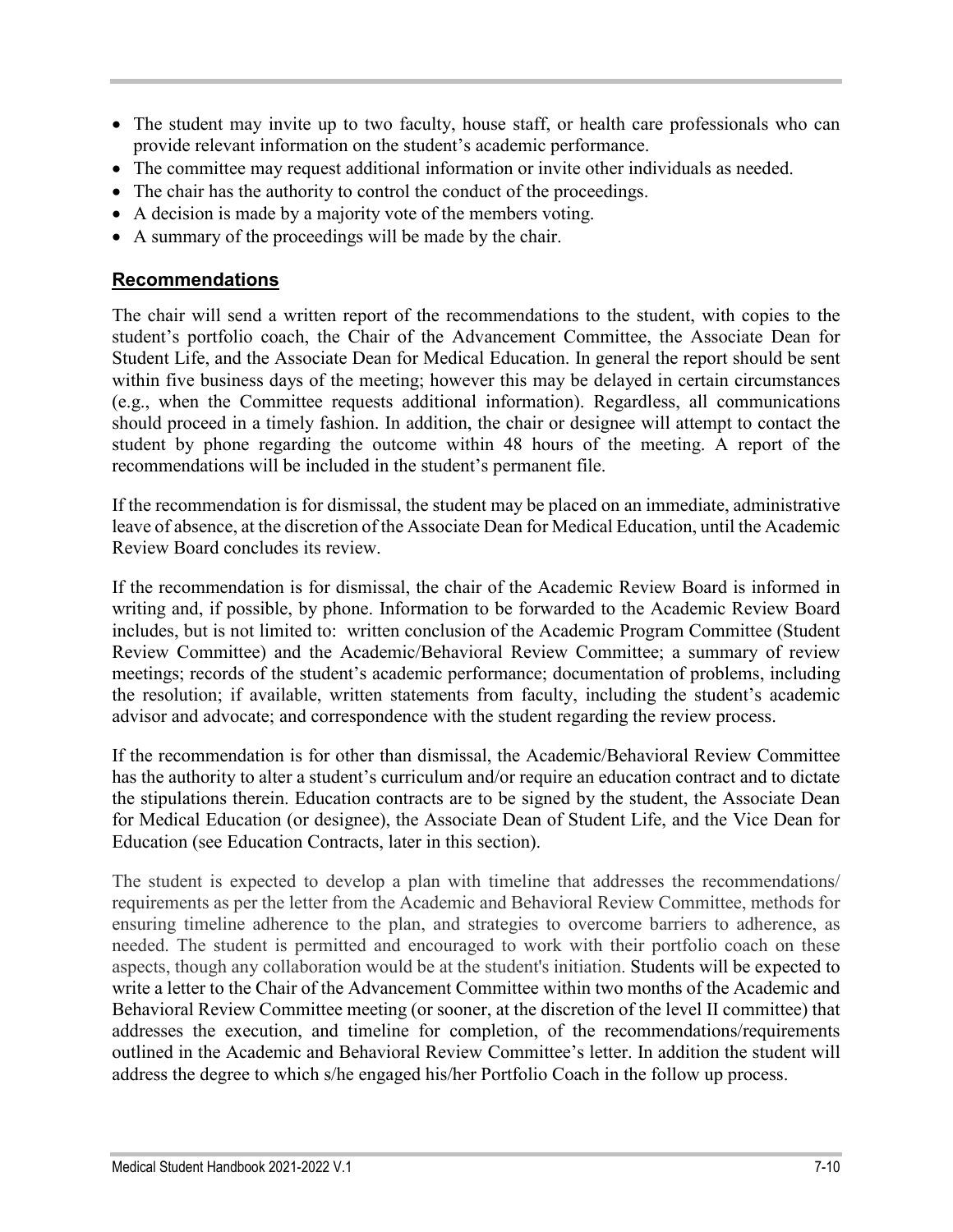- The student may invite up to two faculty, house staff, or health care professionals who can provide relevant information on the student's academic performance.
- The committee may request additional information or invite other individuals as needed.
- The chair has the authority to control the conduct of the proceedings.
- A decision is made by a majority vote of the members voting.
- A summary of the proceedings will be made by the chair.

### **Recommendations**

The chair will send a written report of the recommendations to the student, with copies to the student's portfolio coach, the Chair of the Advancement Committee, the Associate Dean for Student Life, and the Associate Dean for Medical Education. In general the report should be sent within five business days of the meeting; however this may be delayed in certain circumstances (e.g., when the Committee requests additional information). Regardless, all communications should proceed in a timely fashion. In addition, the chair or designee will attempt to contact the student by phone regarding the outcome within 48 hours of the meeting. A report of the recommendations will be included in the student's permanent file.

If the recommendation is for dismissal, the student may be placed on an immediate, administrative leave of absence, at the discretion of the Associate Dean for Medical Education, until the Academic Review Board concludes its review.

If the recommendation is for dismissal, the chair of the Academic Review Board is informed in writing and, if possible, by phone. Information to be forwarded to the Academic Review Board includes, but is not limited to: written conclusion of the Academic Program Committee (Student Review Committee) and the Academic/Behavioral Review Committee; a summary of review meetings; records of the student's academic performance; documentation of problems, including the resolution; if available, written statements from faculty, including the student's academic advisor and advocate; and correspondence with the student regarding the review process.

If the recommendation is for other than dismissal, the Academic/Behavioral Review Committee has the authority to alter a student's curriculum and/or require an education contract and to dictate the stipulations therein. Education contracts are to be signed by the student, the Associate Dean for Medical Education (or designee), the Associate Dean of Student Life, and the Vice Dean for Education (see Education Contracts, later in this section).

The student is expected to develop a plan with timeline that addresses the recommendations/ requirements as per the letter from the Academic and Behavioral Review Committee, methods for ensuring timeline adherence to the plan, and strategies to overcome barriers to adherence, as needed. The student is permitted and encouraged to work with their portfolio coach on these aspects, though any collaboration would be at the student's initiation. Students will be expected to write a letter to the Chair of the Advancement Committee within two months of the Academic and Behavioral Review Committee meeting (or sooner, at the discretion of the level II committee) that addresses the execution, and timeline for completion, of the recommendations/requirements outlined in the Academic and Behavioral Review Committee's letter. In addition the student will address the degree to which s/he engaged his/her Portfolio Coach in the follow up process.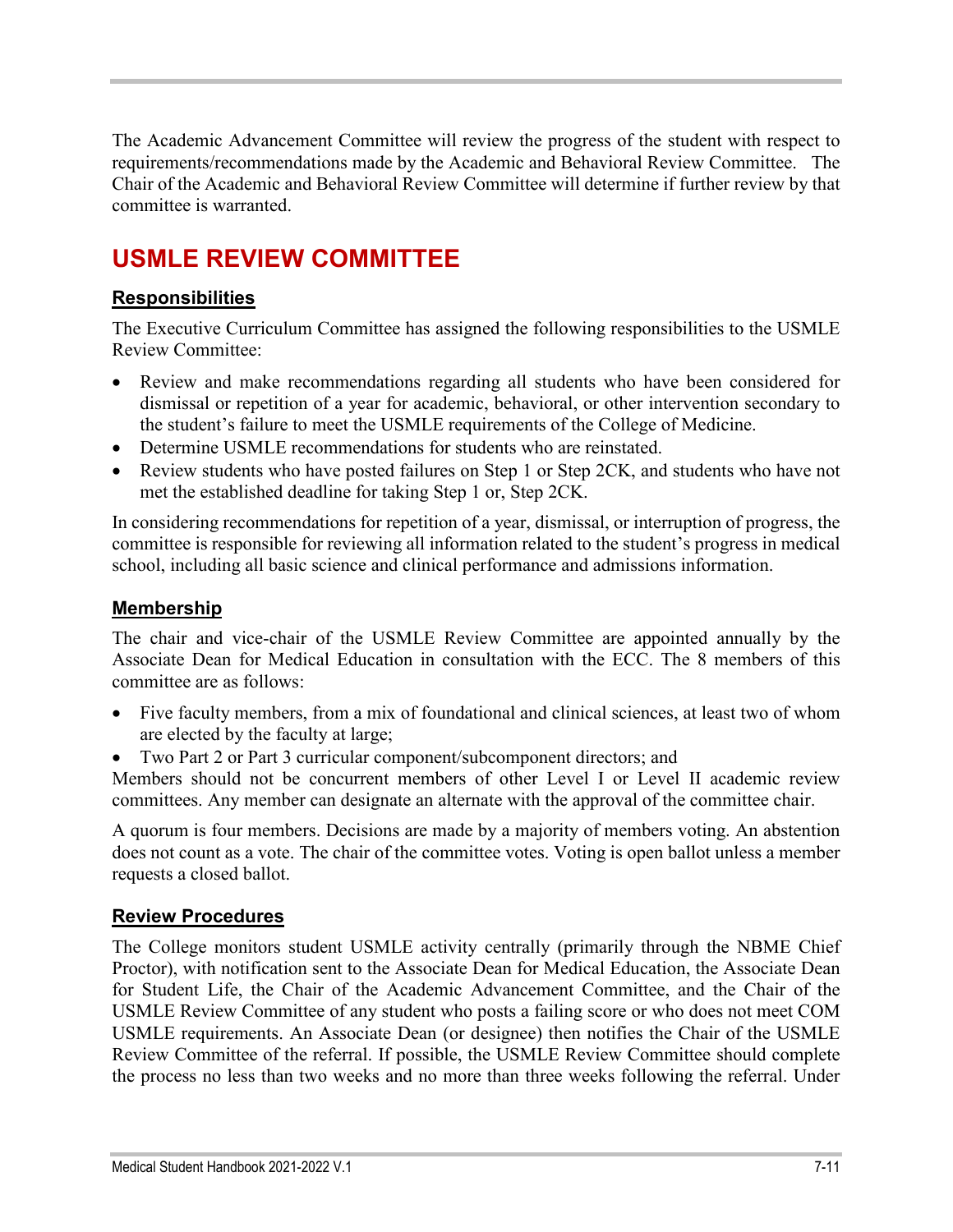The Academic Advancement Committee will review the progress of the student with respect to requirements/recommendations made by the Academic and Behavioral Review Committee. The Chair of the Academic and Behavioral Review Committee will determine if further review by that committee is warranted.

# **USMLE REVIEW COMMITTEE**

# **Responsibilities**

The Executive Curriculum Committee has assigned the following responsibilities to the USMLE Review Committee:

- Review and make recommendations regarding all students who have been considered for dismissal or repetition of a year for academic, behavioral, or other intervention secondary to the student's failure to meet the USMLE requirements of the College of Medicine.
- Determine USMLE recommendations for students who are reinstated.
- Review students who have posted failures on Step 1 or Step 2CK, and students who have not met the established deadline for taking Step 1 or, Step 2CK.

In considering recommendations for repetition of a year, dismissal, or interruption of progress, the committee is responsible for reviewing all information related to the student's progress in medical school, including all basic science and clinical performance and admissions information.

# **Membership**

The chair and vice-chair of the USMLE Review Committee are appointed annually by the Associate Dean for Medical Education in consultation with the ECC. The 8 members of this committee are as follows:

- Five faculty members, from a mix of foundational and clinical sciences, at least two of whom are elected by the faculty at large;
- Two Part 2 or Part 3 curricular component/subcomponent directors; and

Members should not be concurrent members of other Level I or Level II academic review committees. Any member can designate an alternate with the approval of the committee chair.

A quorum is four members. Decisions are made by a majority of members voting. An abstention does not count as a vote. The chair of the committee votes. Voting is open ballot unless a member requests a closed ballot.

# **Review Procedures**

The College monitors student USMLE activity centrally (primarily through the NBME Chief Proctor), with notification sent to the Associate Dean for Medical Education, the Associate Dean for Student Life, the Chair of the Academic Advancement Committee, and the Chair of the USMLE Review Committee of any student who posts a failing score or who does not meet COM USMLE requirements. An Associate Dean (or designee) then notifies the Chair of the USMLE Review Committee of the referral. If possible, the USMLE Review Committee should complete the process no less than two weeks and no more than three weeks following the referral. Under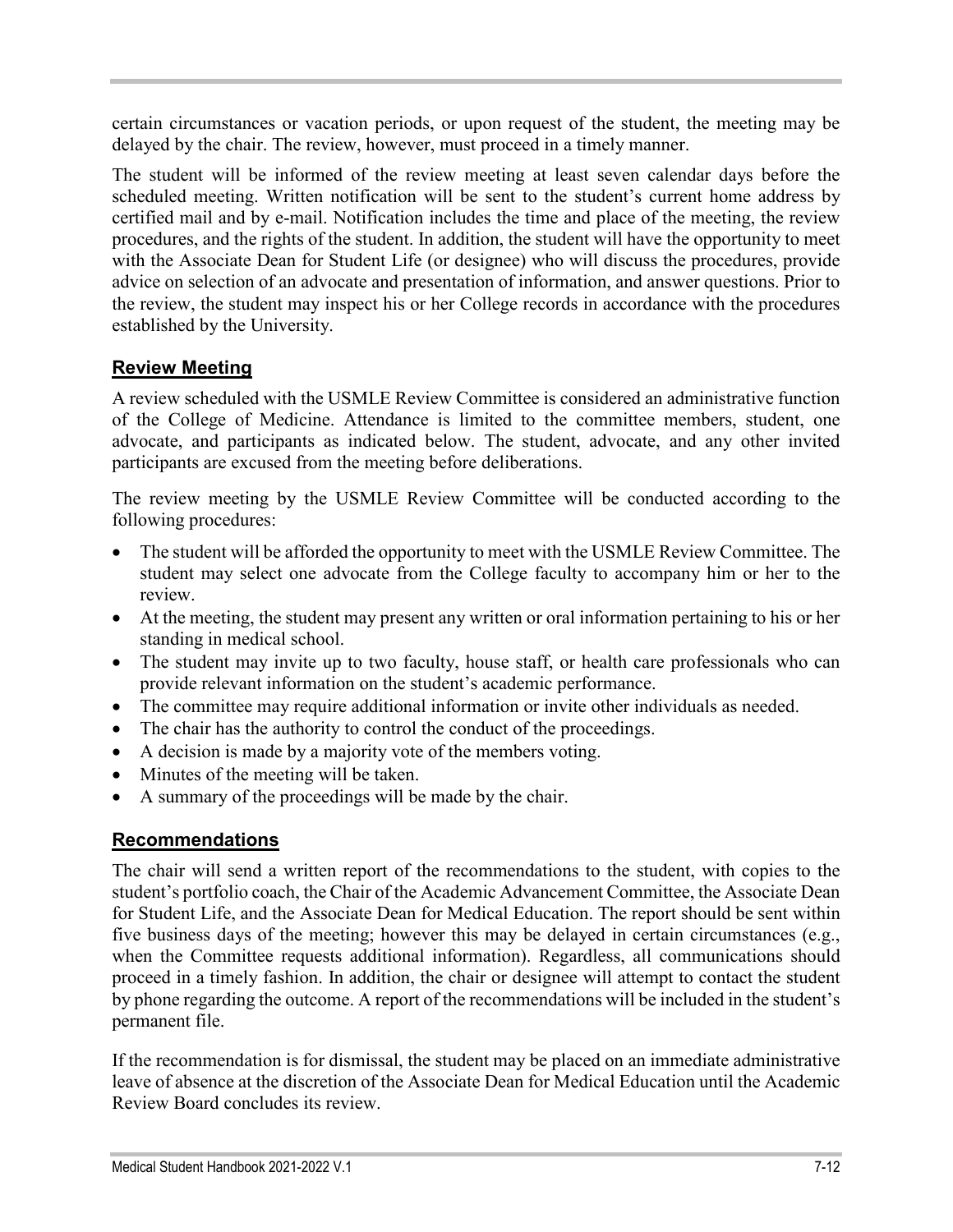certain circumstances or vacation periods, or upon request of the student, the meeting may be delayed by the chair. The review, however, must proceed in a timely manner.

The student will be informed of the review meeting at least seven calendar days before the scheduled meeting. Written notification will be sent to the student's current home address by certified mail and by e-mail. Notification includes the time and place of the meeting, the review procedures, and the rights of the student. In addition, the student will have the opportunity to meet with the Associate Dean for Student Life (or designee) who will discuss the procedures, provide advice on selection of an advocate and presentation of information, and answer questions. Prior to the review, the student may inspect his or her College records in accordance with the procedures established by the University.

# **Review Meeting**

A review scheduled with the USMLE Review Committee is considered an administrative function of the College of Medicine. Attendance is limited to the committee members, student, one advocate, and participants as indicated below. The student, advocate, and any other invited participants are excused from the meeting before deliberations.

The review meeting by the USMLE Review Committee will be conducted according to the following procedures:

- The student will be afforded the opportunity to meet with the USMLE Review Committee. The student may select one advocate from the College faculty to accompany him or her to the review.
- At the meeting, the student may present any written or oral information pertaining to his or her standing in medical school.
- The student may invite up to two faculty, house staff, or health care professionals who can provide relevant information on the student's academic performance.
- The committee may require additional information or invite other individuals as needed.
- The chair has the authority to control the conduct of the proceedings.
- A decision is made by a majority vote of the members voting.
- Minutes of the meeting will be taken.
- A summary of the proceedings will be made by the chair.

# **Recommendations**

The chair will send a written report of the recommendations to the student, with copies to the student's portfolio coach, the Chair of the Academic Advancement Committee, the Associate Dean for Student Life, and the Associate Dean for Medical Education. The report should be sent within five business days of the meeting; however this may be delayed in certain circumstances (e.g., when the Committee requests additional information). Regardless, all communications should proceed in a timely fashion. In addition, the chair or designee will attempt to contact the student by phone regarding the outcome. A report of the recommendations will be included in the student's permanent file.

If the recommendation is for dismissal, the student may be placed on an immediate administrative leave of absence at the discretion of the Associate Dean for Medical Education until the Academic Review Board concludes its review.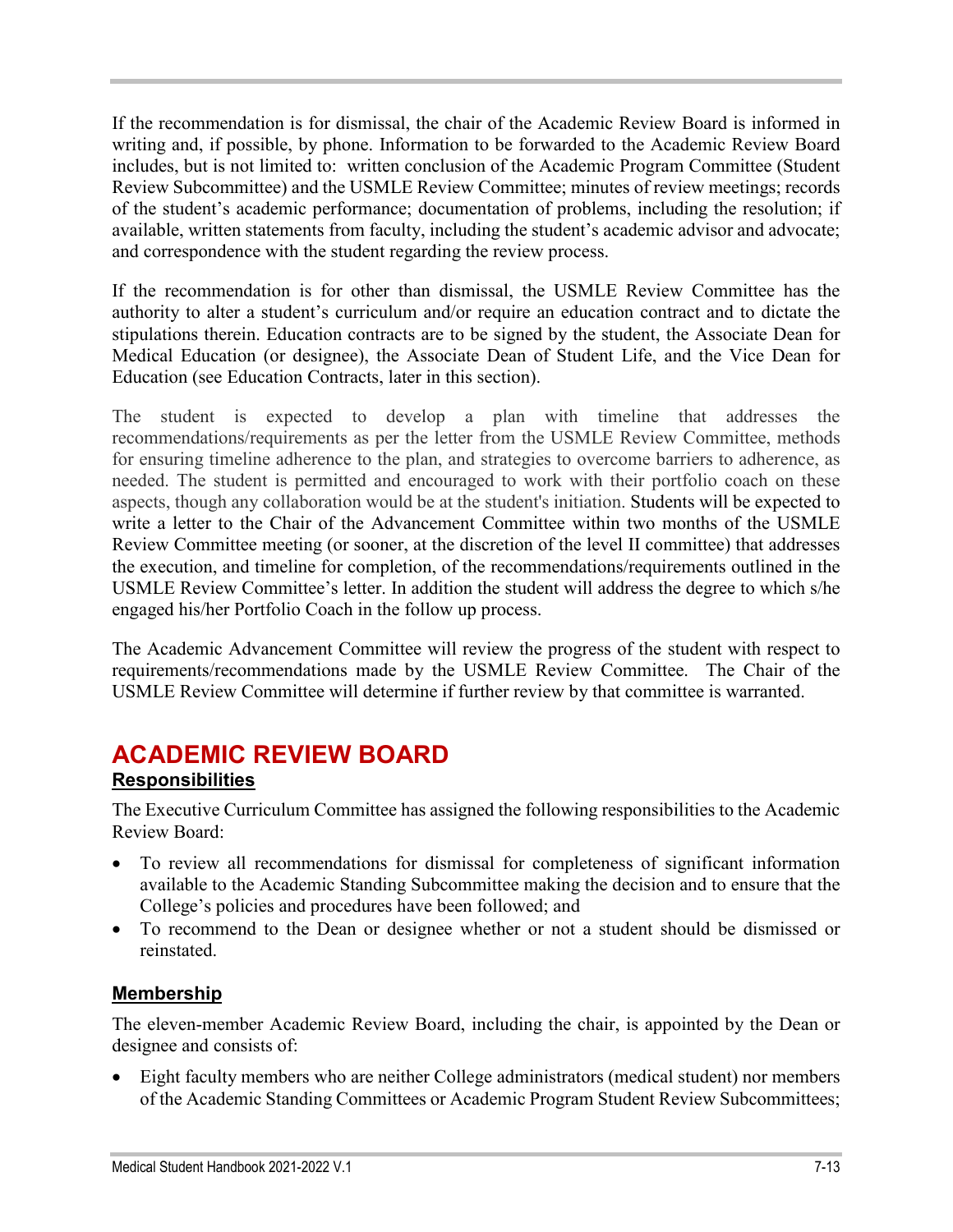If the recommendation is for dismissal, the chair of the Academic Review Board is informed in writing and, if possible, by phone. Information to be forwarded to the Academic Review Board includes, but is not limited to: written conclusion of the Academic Program Committee (Student Review Subcommittee) and the USMLE Review Committee; minutes of review meetings; records of the student's academic performance; documentation of problems, including the resolution; if available, written statements from faculty, including the student's academic advisor and advocate; and correspondence with the student regarding the review process.

If the recommendation is for other than dismissal, the USMLE Review Committee has the authority to alter a student's curriculum and/or require an education contract and to dictate the stipulations therein. Education contracts are to be signed by the student, the Associate Dean for Medical Education (or designee), the Associate Dean of Student Life, and the Vice Dean for Education (see Education Contracts, later in this section).

The student is expected to develop a plan with timeline that addresses the recommendations/requirements as per the letter from the USMLE Review Committee, methods for ensuring timeline adherence to the plan, and strategies to overcome barriers to adherence, as needed. The student is permitted and encouraged to work with their portfolio coach on these aspects, though any collaboration would be at the student's initiation. Students will be expected to write a letter to the Chair of the Advancement Committee within two months of the USMLE Review Committee meeting (or sooner, at the discretion of the level II committee) that addresses the execution, and timeline for completion, of the recommendations/requirements outlined in the USMLE Review Committee's letter. In addition the student will address the degree to which s/he engaged his/her Portfolio Coach in the follow up process.

The Academic Advancement Committee will review the progress of the student with respect to requirements/recommendations made by the USMLE Review Committee. The Chair of the USMLE Review Committee will determine if further review by that committee is warranted.

# **ACADEMIC REVIEW BOARD**

# **Responsibilities**

The Executive Curriculum Committee has assigned the following responsibilities to the Academic Review Board:

- To review all recommendations for dismissal for completeness of significant information available to the Academic Standing Subcommittee making the decision and to ensure that the College's policies and procedures have been followed; and
- To recommend to the Dean or designee whether or not a student should be dismissed or reinstated.

# **Membership**

The eleven-member Academic Review Board, including the chair, is appointed by the Dean or designee and consists of:

• Eight faculty members who are neither College administrators (medical student) nor members of the Academic Standing Committees or Academic Program Student Review Subcommittees;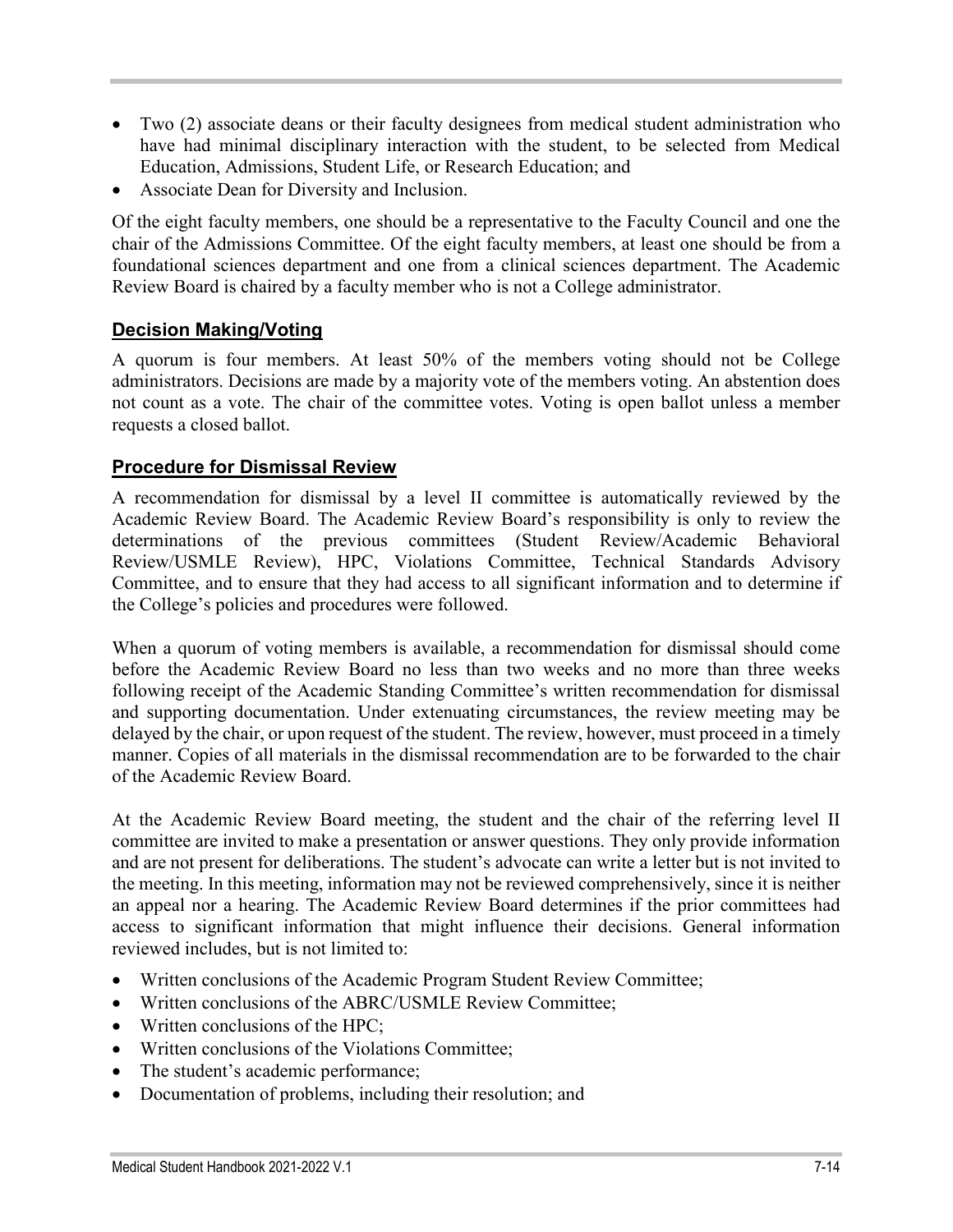- Two (2) associate deans or their faculty designees from medical student administration who have had minimal disciplinary interaction with the student, to be selected from Medical Education, Admissions, Student Life, or Research Education; and
- Associate Dean for Diversity and Inclusion.

Of the eight faculty members, one should be a representative to the Faculty Council and one the chair of the Admissions Committee. Of the eight faculty members, at least one should be from a foundational sciences department and one from a clinical sciences department. The Academic Review Board is chaired by a faculty member who is not a College administrator.

### **Decision Making/Voting**

A quorum is four members. At least 50% of the members voting should not be College administrators. Decisions are made by a majority vote of the members voting. An abstention does not count as a vote. The chair of the committee votes. Voting is open ballot unless a member requests a closed ballot.

### **Procedure for Dismissal Review**

A recommendation for dismissal by a level II committee is automatically reviewed by the Academic Review Board. The Academic Review Board's responsibility is only to review the determinations of the previous committees (Student Review/Academic Behavioral Review/USMLE Review), HPC, Violations Committee, Technical Standards Advisory Committee, and to ensure that they had access to all significant information and to determine if the College's policies and procedures were followed.

When a quorum of voting members is available, a recommendation for dismissal should come before the Academic Review Board no less than two weeks and no more than three weeks following receipt of the Academic Standing Committee's written recommendation for dismissal and supporting documentation. Under extenuating circumstances, the review meeting may be delayed by the chair, or upon request of the student. The review, however, must proceed in a timely manner. Copies of all materials in the dismissal recommendation are to be forwarded to the chair of the Academic Review Board.

At the Academic Review Board meeting, the student and the chair of the referring level II committee are invited to make a presentation or answer questions. They only provide information and are not present for deliberations. The student's advocate can write a letter but is not invited to the meeting. In this meeting, information may not be reviewed comprehensively, since it is neither an appeal nor a hearing. The Academic Review Board determines if the prior committees had access to significant information that might influence their decisions. General information reviewed includes, but is not limited to:

- Written conclusions of the Academic Program Student Review Committee;
- Written conclusions of the ABRC/USMLE Review Committee:
- Written conclusions of the HPC:
- Written conclusions of the Violations Committee;
- The student's academic performance;
- Documentation of problems, including their resolution; and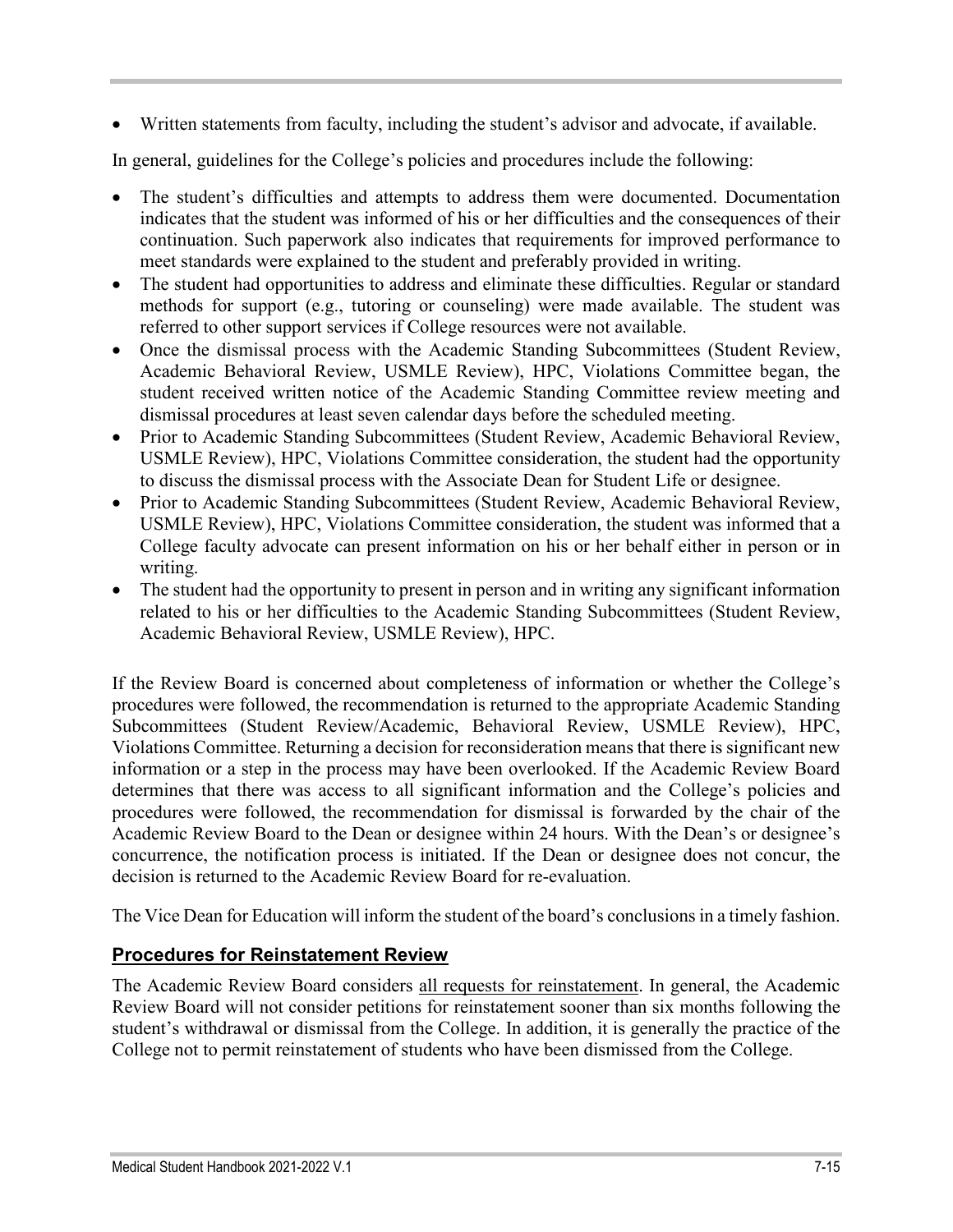• Written statements from faculty, including the student's advisor and advocate, if available.

In general, guidelines for the College's policies and procedures include the following:

- The student's difficulties and attempts to address them were documented. Documentation indicates that the student was informed of his or her difficulties and the consequences of their continuation. Such paperwork also indicates that requirements for improved performance to meet standards were explained to the student and preferably provided in writing.
- The student had opportunities to address and eliminate these difficulties. Regular or standard methods for support (e.g., tutoring or counseling) were made available. The student was referred to other support services if College resources were not available.
- Once the dismissal process with the Academic Standing Subcommittees (Student Review, Academic Behavioral Review, USMLE Review), HPC, Violations Committee began, the student received written notice of the Academic Standing Committee review meeting and dismissal procedures at least seven calendar days before the scheduled meeting.
- Prior to Academic Standing Subcommittees (Student Review, Academic Behavioral Review, USMLE Review), HPC, Violations Committee consideration, the student had the opportunity to discuss the dismissal process with the Associate Dean for Student Life or designee.
- Prior to Academic Standing Subcommittees (Student Review, Academic Behavioral Review, USMLE Review), HPC, Violations Committee consideration, the student was informed that a College faculty advocate can present information on his or her behalf either in person or in writing.
- The student had the opportunity to present in person and in writing any significant information related to his or her difficulties to the Academic Standing Subcommittees (Student Review, Academic Behavioral Review, USMLE Review), HPC.

If the Review Board is concerned about completeness of information or whether the College's procedures were followed, the recommendation is returned to the appropriate Academic Standing Subcommittees (Student Review/Academic, Behavioral Review, USMLE Review), HPC, Violations Committee. Returning a decision for reconsideration means that there is significant new information or a step in the process may have been overlooked. If the Academic Review Board determines that there was access to all significant information and the College's policies and procedures were followed, the recommendation for dismissal is forwarded by the chair of the Academic Review Board to the Dean or designee within 24 hours. With the Dean's or designee's concurrence, the notification process is initiated. If the Dean or designee does not concur, the decision is returned to the Academic Review Board for re-evaluation.

The Vice Dean for Education will inform the student of the board's conclusions in a timely fashion.

# **Procedures for Reinstatement Review**

The Academic Review Board considers all requests for reinstatement. In general, the Academic Review Board will not consider petitions for reinstatement sooner than six months following the student's withdrawal or dismissal from the College. In addition, it is generally the practice of the College not to permit reinstatement of students who have been dismissed from the College.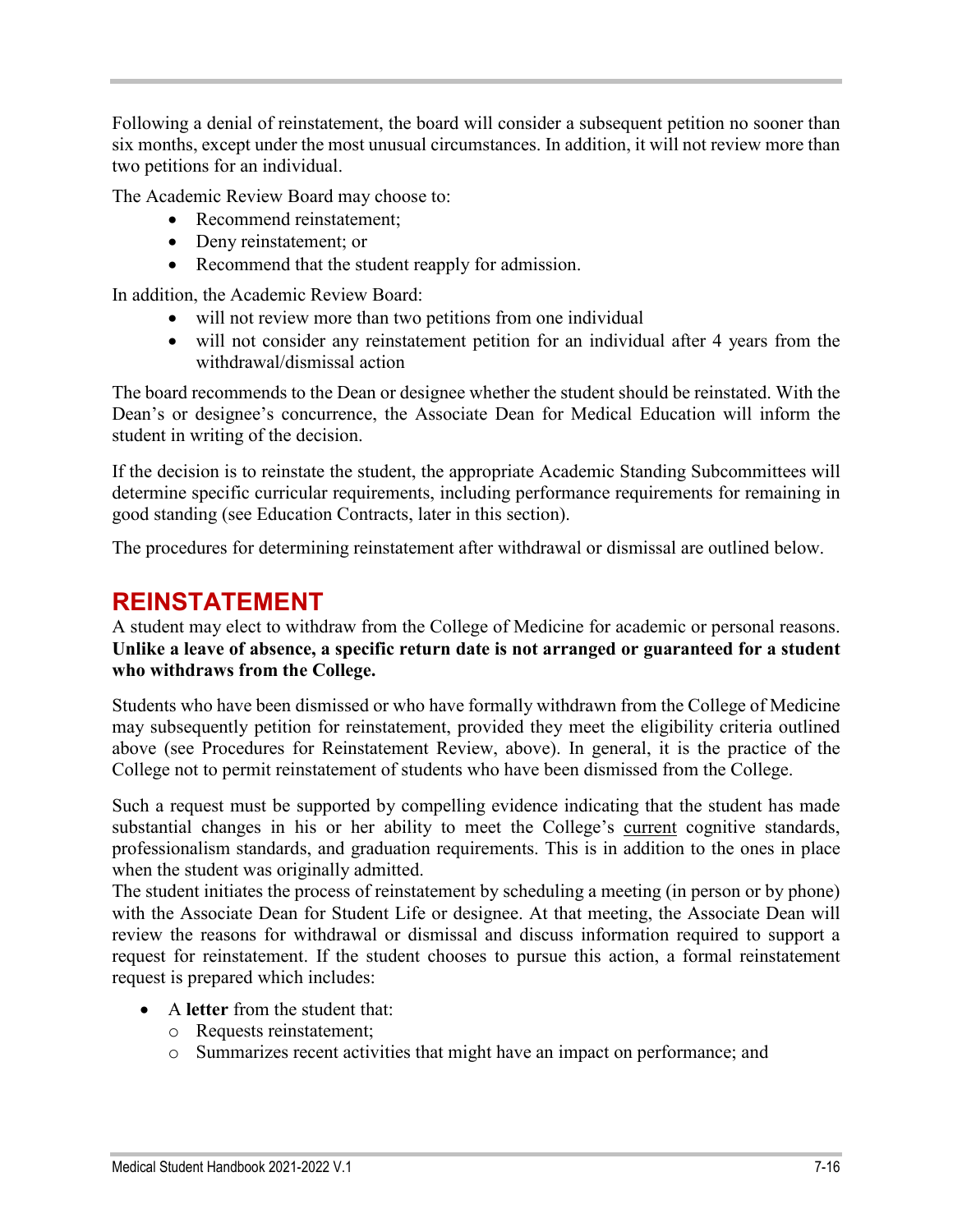Following a denial of reinstatement, the board will consider a subsequent petition no sooner than six months, except under the most unusual circumstances. In addition, it will not review more than two petitions for an individual.

The Academic Review Board may choose to:

- Recommend reinstatement;
- Deny reinstatement; or
- Recommend that the student reapply for admission.

In addition, the Academic Review Board:

- will not review more than two petitions from one individual
- will not consider any reinstatement petition for an individual after 4 years from the withdrawal/dismissal action

The board recommends to the Dean or designee whether the student should be reinstated. With the Dean's or designee's concurrence, the Associate Dean for Medical Education will inform the student in writing of the decision.

If the decision is to reinstate the student, the appropriate Academic Standing Subcommittees will determine specific curricular requirements, including performance requirements for remaining in good standing (see Education Contracts, later in this section).

The procedures for determining reinstatement after withdrawal or dismissal are outlined below.

# **REINSTATEMENT**

A student may elect to withdraw from the College of Medicine for academic or personal reasons. **Unlike a leave of absence, a specific return date is not arranged or guaranteed for a student who withdraws from the College.** 

Students who have been dismissed or who have formally withdrawn from the College of Medicine may subsequently petition for reinstatement, provided they meet the eligibility criteria outlined above (see Procedures for Reinstatement Review, above). In general, it is the practice of the College not to permit reinstatement of students who have been dismissed from the College.

Such a request must be supported by compelling evidence indicating that the student has made substantial changes in his or her ability to meet the College's current cognitive standards, professionalism standards, and graduation requirements. This is in addition to the ones in place when the student was originally admitted.

The student initiates the process of reinstatement by scheduling a meeting (in person or by phone) with the Associate Dean for Student Life or designee. At that meeting, the Associate Dean will review the reasons for withdrawal or dismissal and discuss information required to support a request for reinstatement. If the student chooses to pursue this action, a formal reinstatement request is prepared which includes:

- A **letter** from the student that:
	- o Requests reinstatement;
	- o Summarizes recent activities that might have an impact on performance; and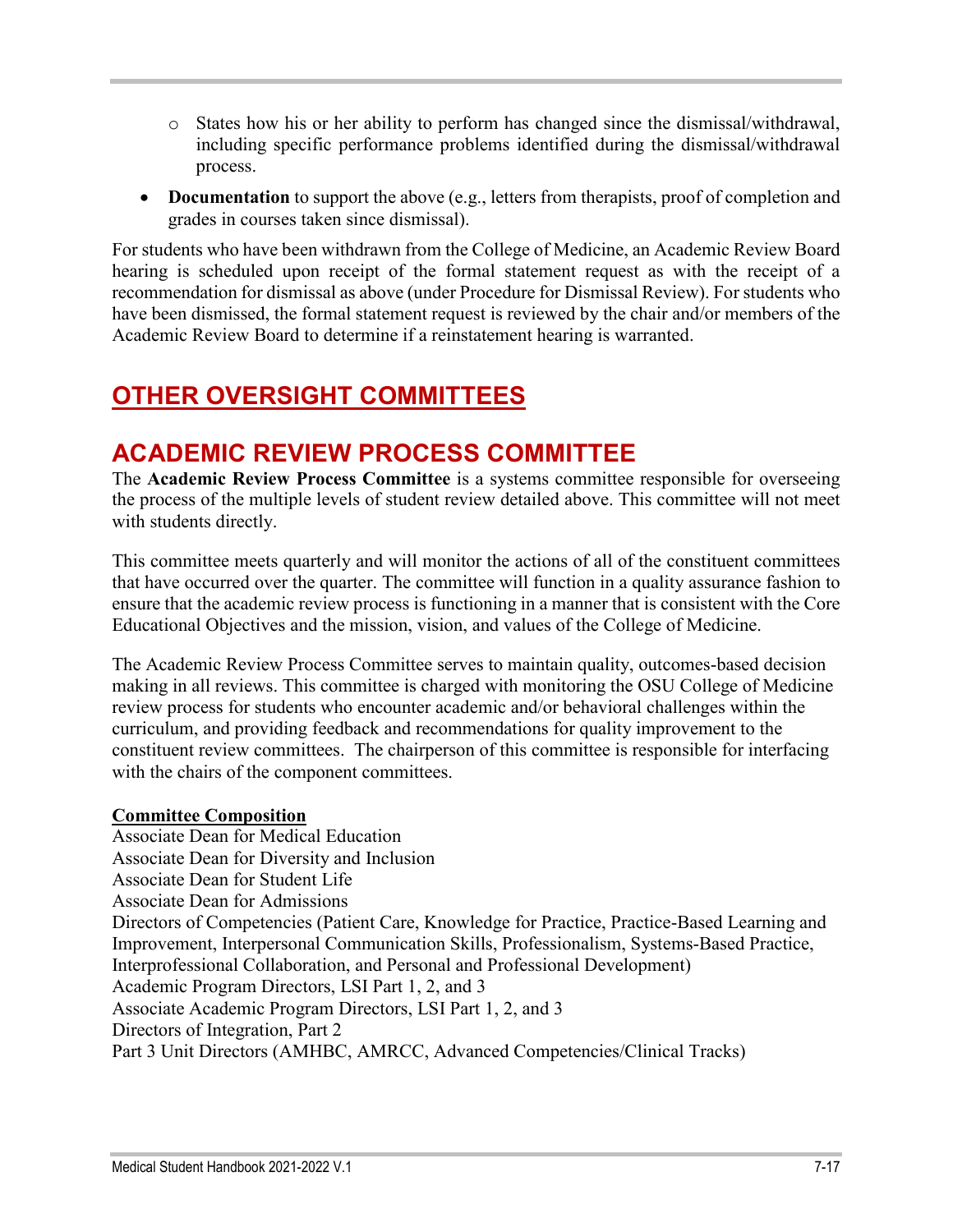- o States how his or her ability to perform has changed since the dismissal/withdrawal, including specific performance problems identified during the dismissal/withdrawal process.
- **Documentation** to support the above (e.g., letters from therapists, proof of completion and grades in courses taken since dismissal).

For students who have been withdrawn from the College of Medicine, an Academic Review Board hearing is scheduled upon receipt of the formal statement request as with the receipt of a recommendation for dismissal as above (under Procedure for Dismissal Review). For students who have been dismissed, the formal statement request is reviewed by the chair and/or members of the Academic Review Board to determine if a reinstatement hearing is warranted.

# **OTHER OVERSIGHT COMMITTEES**

# **ACADEMIC REVIEW PROCESS COMMITTEE**

The **Academic Review Process Committee** is a systems committee responsible for overseeing the process of the multiple levels of student review detailed above. This committee will not meet with students directly.

This committee meets quarterly and will monitor the actions of all of the constituent committees that have occurred over the quarter. The committee will function in a quality assurance fashion to ensure that the academic review process is functioning in a manner that is consistent with the Core Educational Objectives and the mission, vision, and values of the College of Medicine.

The Academic Review Process Committee serves to maintain quality, outcomes-based decision making in all reviews. This committee is charged with monitoring the OSU College of Medicine review process for students who encounter academic and/or behavioral challenges within the curriculum, and providing feedback and recommendations for quality improvement to the constituent review committees. The chairperson of this committee is responsible for interfacing with the chairs of the component committees.

### **Committee Composition**

Associate Dean for Medical Education Associate Dean for Diversity and Inclusion Associate Dean for Student Life Associate Dean for Admissions Directors of Competencies (Patient Care, Knowledge for Practice, Practice-Based Learning and Improvement, Interpersonal Communication Skills, Professionalism, Systems-Based Practice, Interprofessional Collaboration, and Personal and Professional Development) Academic Program Directors, LSI Part 1, 2, and 3 Associate Academic Program Directors, LSI Part 1, 2, and 3 Directors of Integration, Part 2 Part 3 Unit Directors (AMHBC, AMRCC, Advanced Competencies/Clinical Tracks)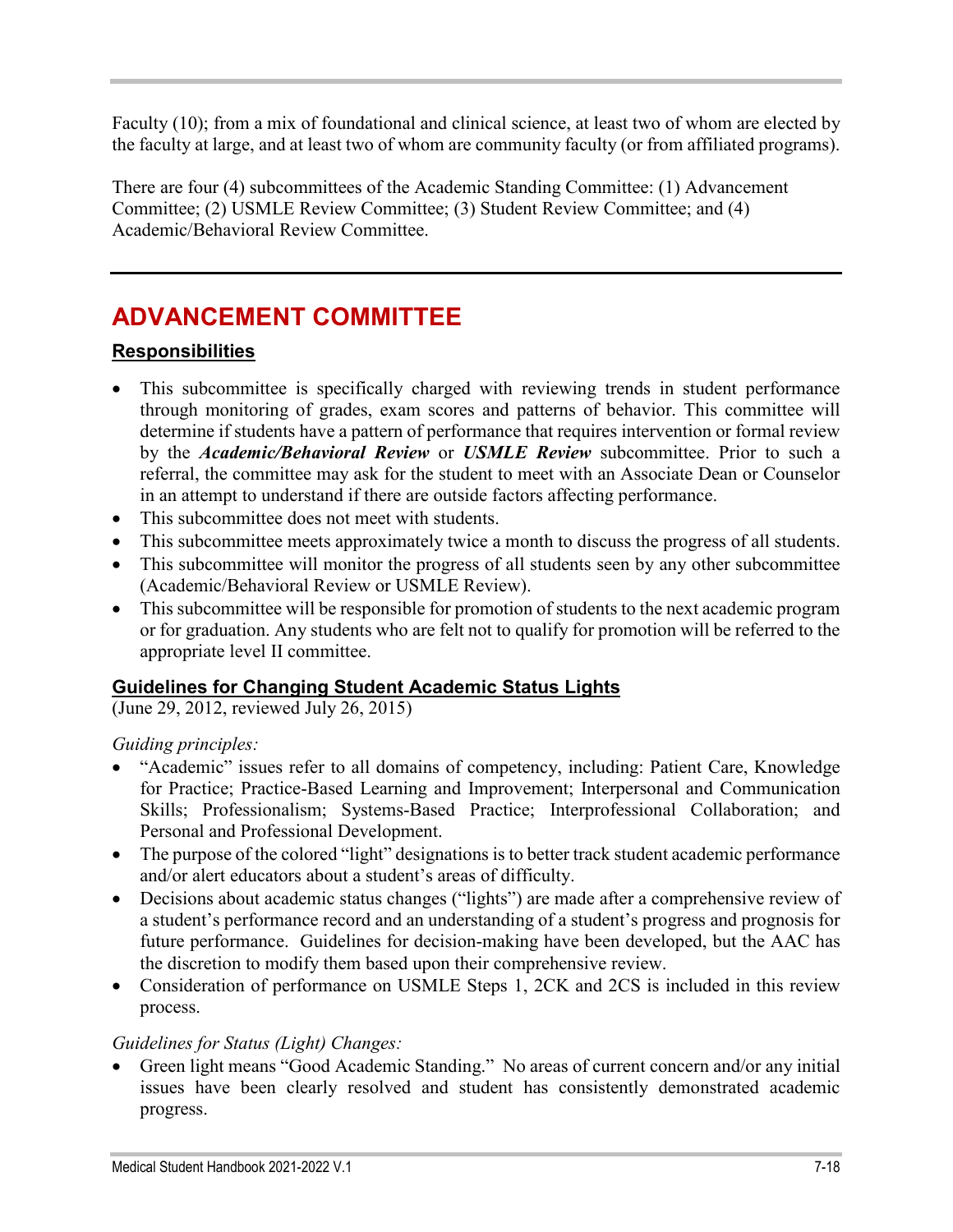Faculty (10); from a mix of foundational and clinical science, at least two of whom are elected by the faculty at large, and at least two of whom are community faculty (or from affiliated programs).

There are four (4) subcommittees of the Academic Standing Committee: (1) Advancement Committee; (2) USMLE Review Committee; (3) Student Review Committee; and (4) Academic/Behavioral Review Committee.

# **ADVANCEMENT COMMITTEE**

# **Responsibilities**

- This subcommittee is specifically charged with reviewing trends in student performance through monitoring of grades, exam scores and patterns of behavior. This committee will determine if students have a pattern of performance that requires intervention or formal review by the *Academic/Behavioral Review* or *USMLE Review* subcommittee. Prior to such a referral, the committee may ask for the student to meet with an Associate Dean or Counselor in an attempt to understand if there are outside factors affecting performance.
- This subcommittee does not meet with students.
- This subcommittee meets approximately twice a month to discuss the progress of all students.
- This subcommittee will monitor the progress of all students seen by any other subcommittee (Academic/Behavioral Review or USMLE Review).
- This subcommittee will be responsible for promotion of students to the next academic program or for graduation. Any students who are felt not to qualify for promotion will be referred to the appropriate level II committee.

# **Guidelines for Changing Student Academic Status Lights**

(June 29, 2012, reviewed July 26, 2015)

# *Guiding principles:*

- "Academic" issues refer to all domains of competency, including: Patient Care, Knowledge for Practice; Practice-Based Learning and Improvement; Interpersonal and Communication Skills; Professionalism; Systems-Based Practice; Interprofessional Collaboration; and Personal and Professional Development.
- The purpose of the colored "light" designations is to better track student academic performance and/or alert educators about a student's areas of difficulty.
- Decisions about academic status changes ("lights") are made after a comprehensive review of a student's performance record and an understanding of a student's progress and prognosis for future performance. Guidelines for decision-making have been developed, but the AAC has the discretion to modify them based upon their comprehensive review.
- Consideration of performance on USMLE Steps 1, 2CK and 2CS is included in this review process.

# *Guidelines for Status (Light) Changes:*

• Green light means "Good Academic Standing." No areas of current concern and/or any initial issues have been clearly resolved and student has consistently demonstrated academic progress.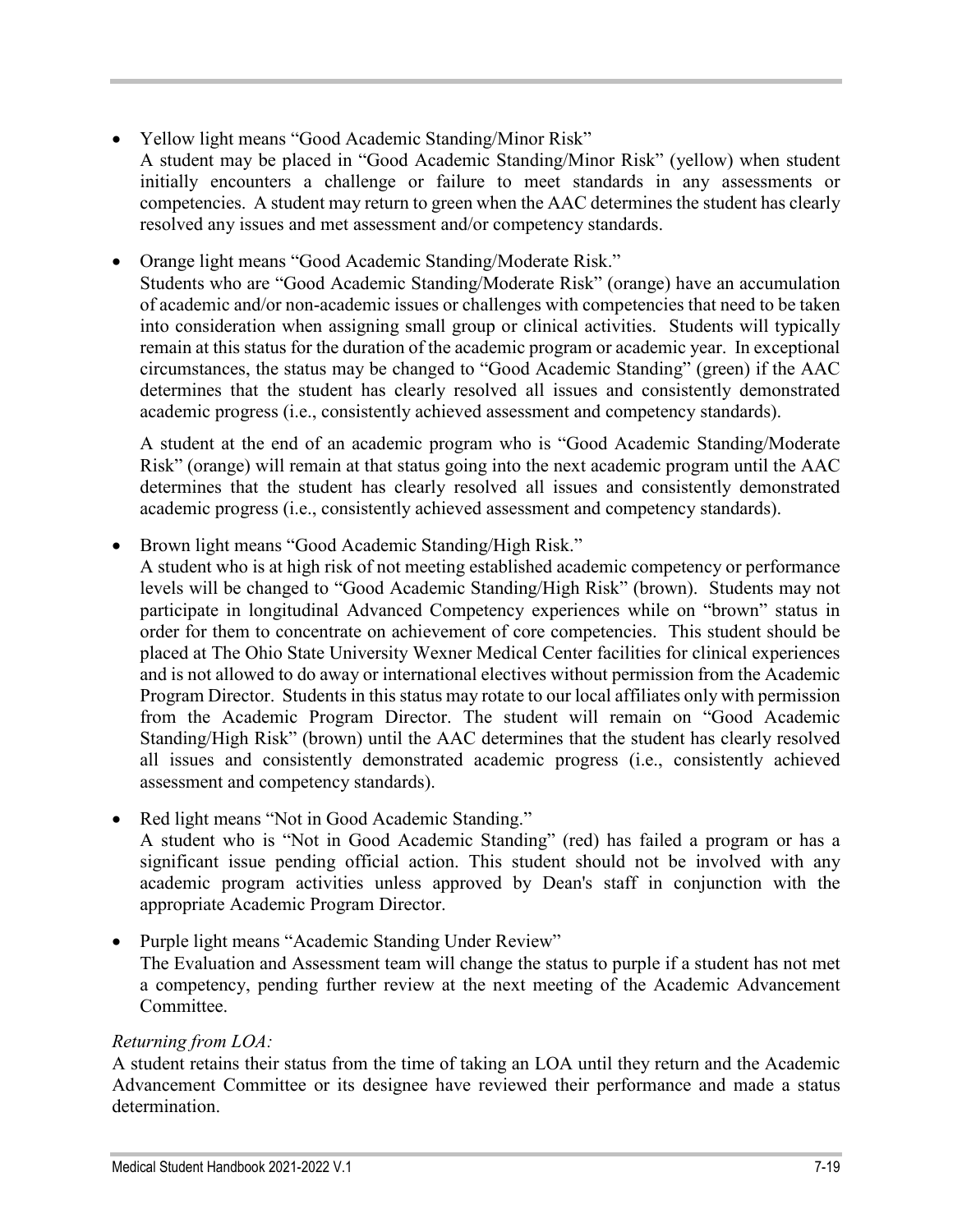- Yellow light means "Good Academic Standing/Minor Risk"
- A student may be placed in "Good Academic Standing/Minor Risk" (yellow) when student initially encounters a challenge or failure to meet standards in any assessments or competencies. A student may return to green when the AAC determines the student has clearly resolved any issues and met assessment and/or competency standards.
- Orange light means "Good Academic Standing/Moderate Risk."

Students who are "Good Academic Standing/Moderate Risk" (orange) have an accumulation of academic and/or non-academic issues or challenges with competencies that need to be taken into consideration when assigning small group or clinical activities. Students will typically remain at this status for the duration of the academic program or academic year. In exceptional circumstances, the status may be changed to "Good Academic Standing" (green) if the AAC determines that the student has clearly resolved all issues and consistently demonstrated academic progress (i.e., consistently achieved assessment and competency standards).

A student at the end of an academic program who is "Good Academic Standing/Moderate Risk" (orange) will remain at that status going into the next academic program until the AAC determines that the student has clearly resolved all issues and consistently demonstrated academic progress (i.e., consistently achieved assessment and competency standards).

• Brown light means "Good Academic Standing/High Risk."

A student who is at high risk of not meeting established academic competency or performance levels will be changed to "Good Academic Standing/High Risk" (brown). Students may not participate in longitudinal Advanced Competency experiences while on "brown" status in order for them to concentrate on achievement of core competencies. This student should be placed at The Ohio State University Wexner Medical Center facilities for clinical experiences and is not allowed to do away or international electives without permission from the Academic Program Director. Students in this status may rotate to our local affiliates only with permission from the Academic Program Director. The student will remain on "Good Academic Standing/High Risk" (brown) until the AAC determines that the student has clearly resolved all issues and consistently demonstrated academic progress (i.e., consistently achieved assessment and competency standards).

Red light means "Not in Good Academic Standing."

A student who is "Not in Good Academic Standing" (red) has failed a program or has a significant issue pending official action. This student should not be involved with any academic program activities unless approved by Dean's staff in conjunction with the appropriate Academic Program Director.

• Purple light means "Academic Standing Under Review" The Evaluation and Assessment team will change the status to purple if a student has not met a competency, pending further review at the next meeting of the Academic Advancement Committee.

### *Returning from LOA:*

A student retains their status from the time of taking an LOA until they return and the Academic Advancement Committee or its designee have reviewed their performance and made a status determination.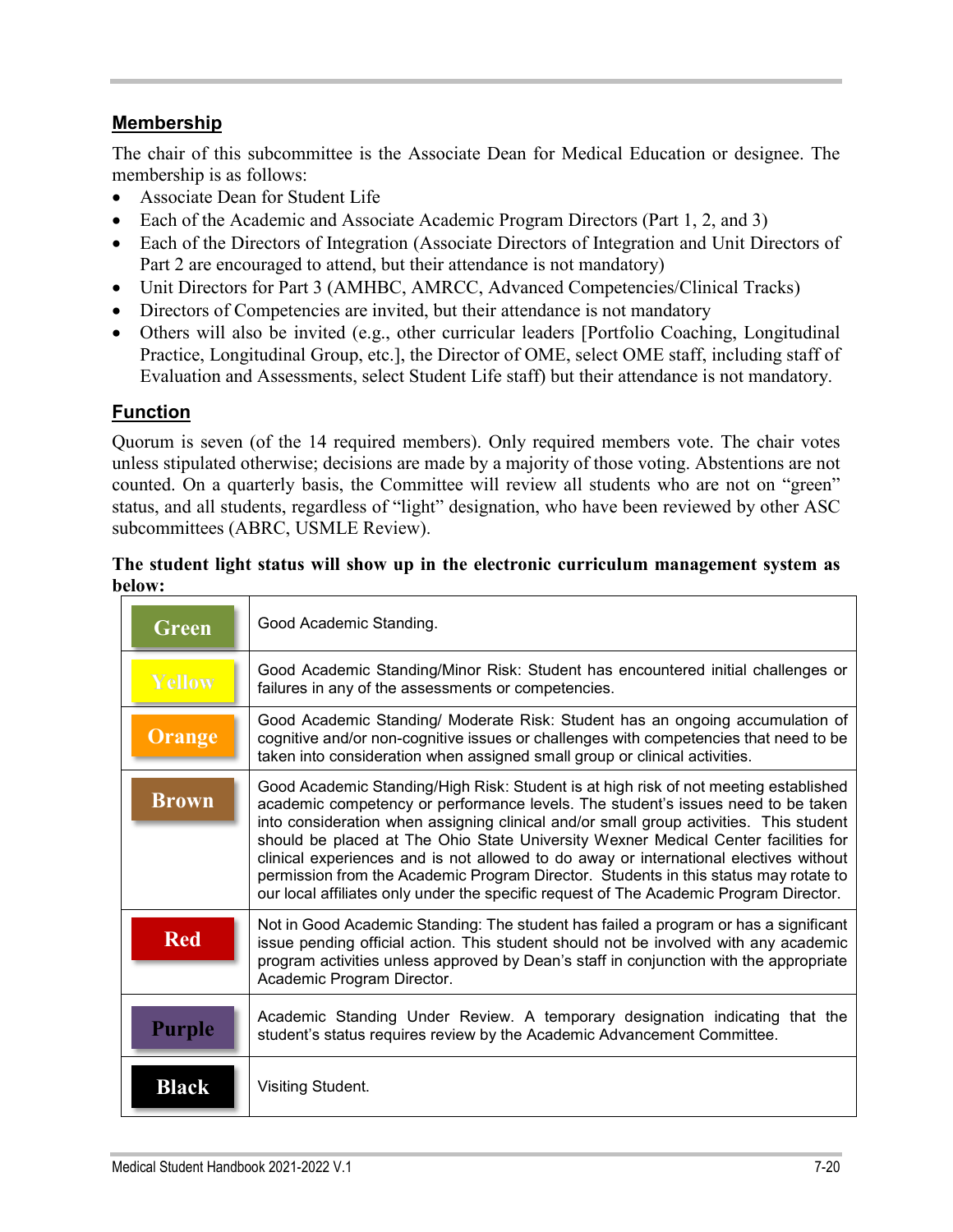# **Membership**

The chair of this subcommittee is the Associate Dean for Medical Education or designee. The membership is as follows:

- Associate Dean for Student Life
- Each of the Academic and Associate Academic Program Directors (Part 1, 2, and 3)
- Each of the Directors of Integration (Associate Directors of Integration and Unit Directors of Part 2 are encouraged to attend, but their attendance is not mandatory)
- Unit Directors for Part 3 (AMHBC, AMRCC, Advanced Competencies/Clinical Tracks)
- Directors of Competencies are invited, but their attendance is not mandatory
- Others will also be invited (e.g., other curricular leaders [Portfolio Coaching, Longitudinal Practice, Longitudinal Group, etc.], the Director of OME, select OME staff, including staff of Evaluation and Assessments, select Student Life staff) but their attendance is not mandatory.

#### **Function**

Quorum is seven (of the 14 required members). Only required members vote. The chair votes unless stipulated otherwise; decisions are made by a majority of those voting. Abstentions are not counted. On a quarterly basis, the Committee will review all students who are not on "green" status, and all students, regardless of "light" designation, who have been reviewed by other ASC subcommittees (ABRC, USMLE Review).

#### **The student light status will show up in the electronic curriculum management system as below:**

| Green         | Good Academic Standing.                                                                                                                                                                                                                                                                                                                                                                                                                                                                                                                                                                                                             |
|---------------|-------------------------------------------------------------------------------------------------------------------------------------------------------------------------------------------------------------------------------------------------------------------------------------------------------------------------------------------------------------------------------------------------------------------------------------------------------------------------------------------------------------------------------------------------------------------------------------------------------------------------------------|
| <b>Yellow</b> | Good Academic Standing/Minor Risk: Student has encountered initial challenges or<br>failures in any of the assessments or competencies.                                                                                                                                                                                                                                                                                                                                                                                                                                                                                             |
| Orange        | Good Academic Standing/ Moderate Risk: Student has an ongoing accumulation of<br>cognitive and/or non-cognitive issues or challenges with competencies that need to be<br>taken into consideration when assigned small group or clinical activities.                                                                                                                                                                                                                                                                                                                                                                                |
| <b>Brown</b>  | Good Academic Standing/High Risk: Student is at high risk of not meeting established<br>academic competency or performance levels. The student's issues need to be taken<br>into consideration when assigning clinical and/or small group activities. This student<br>should be placed at The Ohio State University Wexner Medical Center facilities for<br>clinical experiences and is not allowed to do away or international electives without<br>permission from the Academic Program Director. Students in this status may rotate to<br>our local affiliates only under the specific request of The Academic Program Director. |
| <b>Red</b>    | Not in Good Academic Standing: The student has failed a program or has a significant<br>issue pending official action. This student should not be involved with any academic<br>program activities unless approved by Dean's staff in conjunction with the appropriate<br>Academic Program Director.                                                                                                                                                                                                                                                                                                                                |
| Purple        | Academic Standing Under Review. A temporary designation indicating that the<br>student's status requires review by the Academic Advancement Committee.                                                                                                                                                                                                                                                                                                                                                                                                                                                                              |
| <b>Black</b>  | Visiting Student.                                                                                                                                                                                                                                                                                                                                                                                                                                                                                                                                                                                                                   |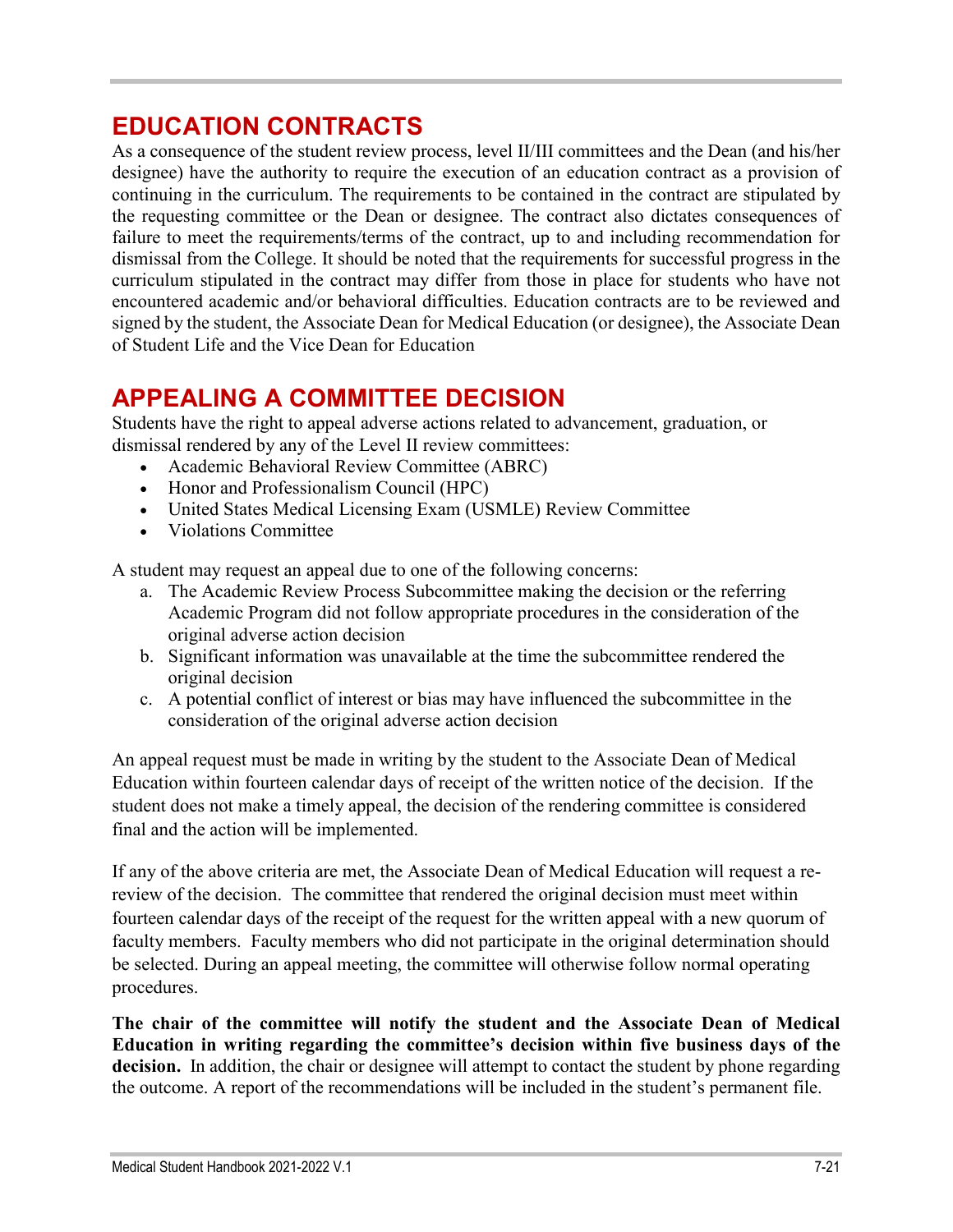# **EDUCATION CONTRACTS**

As a consequence of the student review process, level II/III committees and the Dean (and his/her designee) have the authority to require the execution of an education contract as a provision of continuing in the curriculum. The requirements to be contained in the contract are stipulated by the requesting committee or the Dean or designee. The contract also dictates consequences of failure to meet the requirements/terms of the contract, up to and including recommendation for dismissal from the College. It should be noted that the requirements for successful progress in the curriculum stipulated in the contract may differ from those in place for students who have not encountered academic and/or behavioral difficulties. Education contracts are to be reviewed and signed by the student, the Associate Dean for Medical Education (or designee), the Associate Dean of Student Life and the Vice Dean for Education

# **APPEALING A COMMITTEE DECISION**

Students have the right to appeal adverse actions related to advancement, graduation, or dismissal rendered by any of the Level II review committees:

- Academic Behavioral Review Committee (ABRC)
- Honor and Professionalism Council (HPC)
- United States Medical Licensing Exam (USMLE) Review Committee
- Violations Committee

A student may request an appeal due to one of the following concerns:

- a. The Academic Review Process Subcommittee making the decision or the referring Academic Program did not follow appropriate procedures in the consideration of the original adverse action decision
- b. Significant information was unavailable at the time the subcommittee rendered the original decision
- c. A potential conflict of interest or bias may have influenced the subcommittee in the consideration of the original adverse action decision

An appeal request must be made in writing by the student to the Associate Dean of Medical Education within fourteen calendar days of receipt of the written notice of the decision. If the student does not make a timely appeal, the decision of the rendering committee is considered final and the action will be implemented.

If any of the above criteria are met, the Associate Dean of Medical Education will request a rereview of the decision. The committee that rendered the original decision must meet within fourteen calendar days of the receipt of the request for the written appeal with a new quorum of faculty members. Faculty members who did not participate in the original determination should be selected. During an appeal meeting, the committee will otherwise follow normal operating procedures.

**The chair of the committee will notify the student and the Associate Dean of Medical Education in writing regarding the committee's decision within five business days of the decision.** In addition, the chair or designee will attempt to contact the student by phone regarding the outcome. A report of the recommendations will be included in the student's permanent file.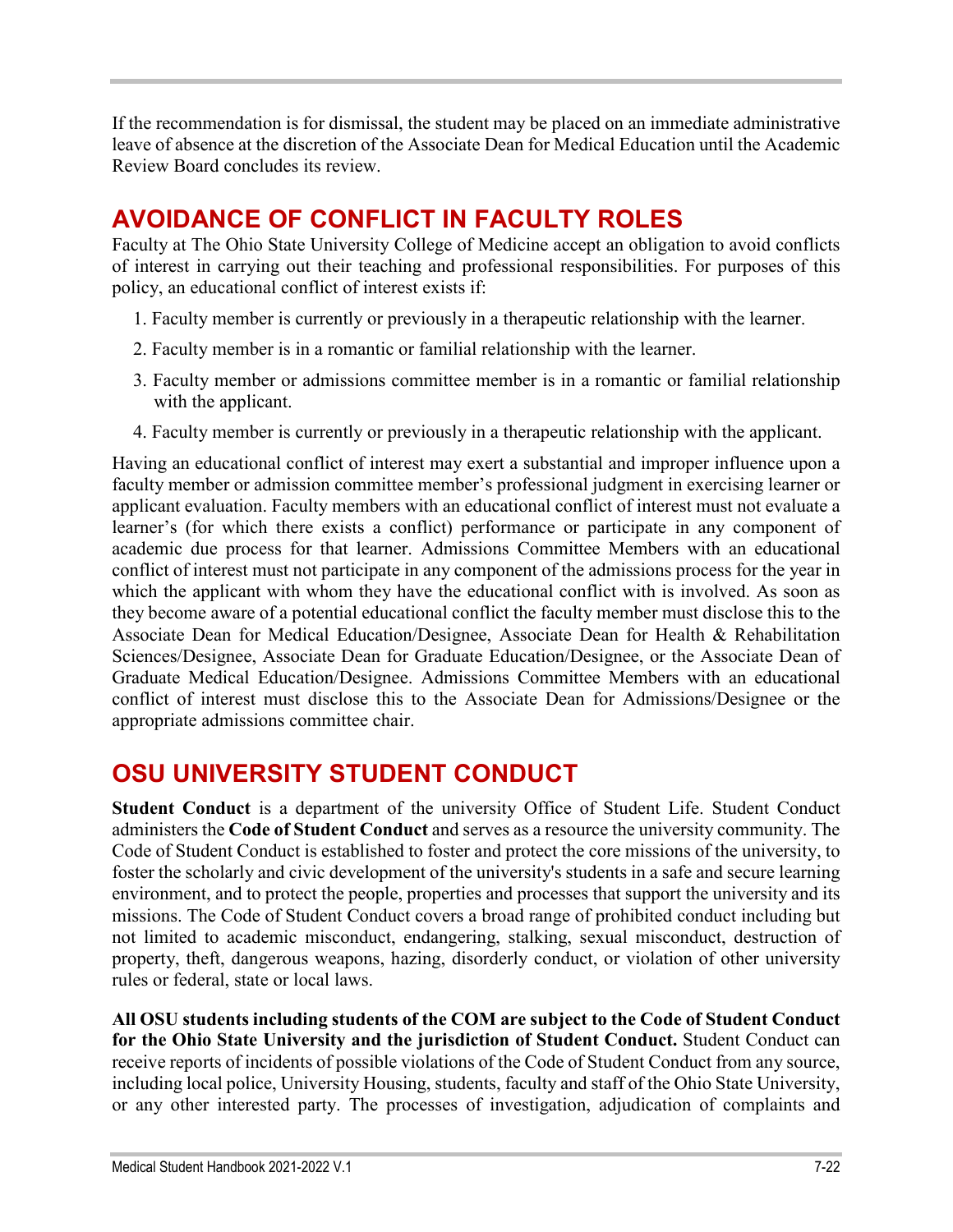If the recommendation is for dismissal, the student may be placed on an immediate administrative leave of absence at the discretion of the Associate Dean for Medical Education until the Academic Review Board concludes its review.

# **AVOIDANCE OF CONFLICT IN FACULTY ROLES**

Faculty at The Ohio State University College of Medicine accept an obligation to avoid conflicts of interest in carrying out their teaching and professional responsibilities. For purposes of this policy, an educational conflict of interest exists if:

- 1. Faculty member is currently or previously in a therapeutic relationship with the learner.
- 2. Faculty member is in a romantic or familial relationship with the learner.
- 3. Faculty member or admissions committee member is in a romantic or familial relationship with the applicant.
- 4. Faculty member is currently or previously in a therapeutic relationship with the applicant.

Having an educational conflict of interest may exert a substantial and improper influence upon a faculty member or admission committee member's professional judgment in exercising learner or applicant evaluation. Faculty members with an educational conflict of interest must not evaluate a learner's (for which there exists a conflict) performance or participate in any component of academic due process for that learner. Admissions Committee Members with an educational conflict of interest must not participate in any component of the admissions process for the year in which the applicant with whom they have the educational conflict with is involved. As soon as they become aware of a potential educational conflict the faculty member must disclose this to the Associate Dean for Medical Education/Designee, Associate Dean for Health & Rehabilitation Sciences/Designee, Associate Dean for Graduate Education/Designee, or the Associate Dean of Graduate Medical Education/Designee. Admissions Committee Members with an educational conflict of interest must disclose this to the Associate Dean for Admissions/Designee or the appropriate admissions committee chair.

# **OSU UNIVERSITY STUDENT CONDUCT**

**Student Conduct** is a department of the university Office of Student Life. Student Conduct administers the **Code of Student Conduct** and serves as a resource the university community. The Code of Student Conduct is established to foster and protect the core missions of the university, to foster the scholarly and civic development of the university's students in a safe and secure learning environment, and to protect the people, properties and processes that support the university and its missions. The Code of Student Conduct covers a broad range of prohibited conduct including but not limited to academic misconduct, endangering, stalking, sexual misconduct, destruction of property, theft, dangerous weapons, hazing, disorderly conduct, or violation of other university rules or federal, state or local laws.

**All OSU students including students of the COM are subject to the Code of Student Conduct for the Ohio State University and the jurisdiction of Student Conduct.** Student Conduct can receive reports of incidents of possible violations of the Code of Student Conduct from any source, including local police, University Housing, students, faculty and staff of the Ohio State University, or any other interested party. The processes of investigation, adjudication of complaints and